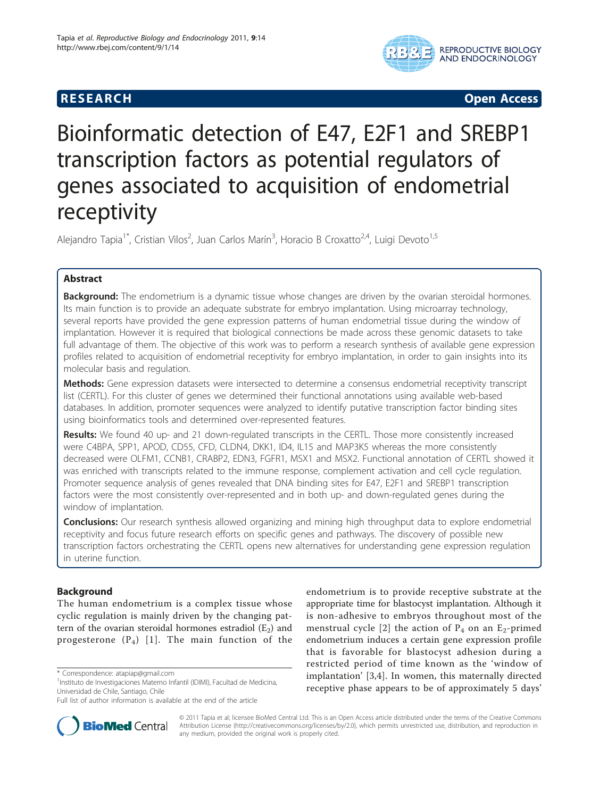

**RESEARCH CONTROL** CONTROL CONTROL CONTROL CONTROL CONTROL CONTROL CONTROL CONTROL CONTROL CONTROL CONTROL CONTROL CONTROL CONTROL CONTROL CONTROL CONTROL CONTROL CONTROL CONTROL CONTROL CONTROL CONTROL CONTROL CONTROL CON

# Bioinformatic detection of E47, E2F1 and SREBP1 transcription factors as potential regulators of genes associated to acquisition of endometrial receptivity

Alejandro Tapia<sup>1\*</sup>, Cristian Vilos<sup>2</sup>, Juan Carlos Marín<sup>3</sup>, Horacio B Croxatto<sup>2,4</sup>, Luigi Devoto<sup>1,5</sup>

# Abstract

**Background:** The endometrium is a dynamic tissue whose changes are driven by the ovarian steroidal hormones. Its main function is to provide an adequate substrate for embryo implantation. Using microarray technology, several reports have provided the gene expression patterns of human endometrial tissue during the window of implantation. However it is required that biological connections be made across these genomic datasets to take full advantage of them. The objective of this work was to perform a research synthesis of available gene expression profiles related to acquisition of endometrial receptivity for embryo implantation, in order to gain insights into its molecular basis and regulation.

Methods: Gene expression datasets were intersected to determine a consensus endometrial receptivity transcript list (CERTL). For this cluster of genes we determined their functional annotations using available web-based databases. In addition, promoter sequences were analyzed to identify putative transcription factor binding sites using bioinformatics tools and determined over-represented features.

Results: We found 40 up- and 21 down-regulated transcripts in the CERTL. Those more consistently increased were C4BPA, SPP1, APOD, CD55, CFD, CLDN4, DKK1, ID4, IL15 and MAP3K5 whereas the more consistently decreased were OLFM1, CCNB1, CRABP2, EDN3, FGFR1, MSX1 and MSX2. Functional annotation of CERTL showed it was enriched with transcripts related to the immune response, complement activation and cell cycle regulation. Promoter sequence analysis of genes revealed that DNA binding sites for E47, E2F1 and SREBP1 transcription factors were the most consistently over-represented and in both up- and down-regulated genes during the window of implantation.

Conclusions: Our research synthesis allowed organizing and mining high throughput data to explore endometrial receptivity and focus future research efforts on specific genes and pathways. The discovery of possible new transcription factors orchestrating the CERTL opens new alternatives for understanding gene expression regulation in uterine function.

# Background

The human endometrium is a complex tissue whose cyclic regulation is mainly driven by the changing pattern of the ovarian steroidal hormones estradiol  $(E_2)$  and progesterone  $(P_4)$  [[1\]](#page-9-0). The main function of the

Full list of author information is available at the end of the article





© 2011 Tapia et al; licensee BioMed Central Ltd. This is an Open Access article distributed under the terms of the Creative Commons Attribution License [\(http://creativecommons.org/licenses/by/2.0](http://creativecommons.org/licenses/by/2.0)), which permits unrestricted use, distribution, and reproduction in any medium, provided the original work is properly cited.

<sup>\*</sup> Correspondence: [atapiap@gmail.com](mailto:atapiap@gmail.com)

<sup>&</sup>lt;sup>1</sup>Instituto de Investigaciones Materno Infantil (IDIMI), Facultad de Medicina, Universidad de Chile, Santiago, Chile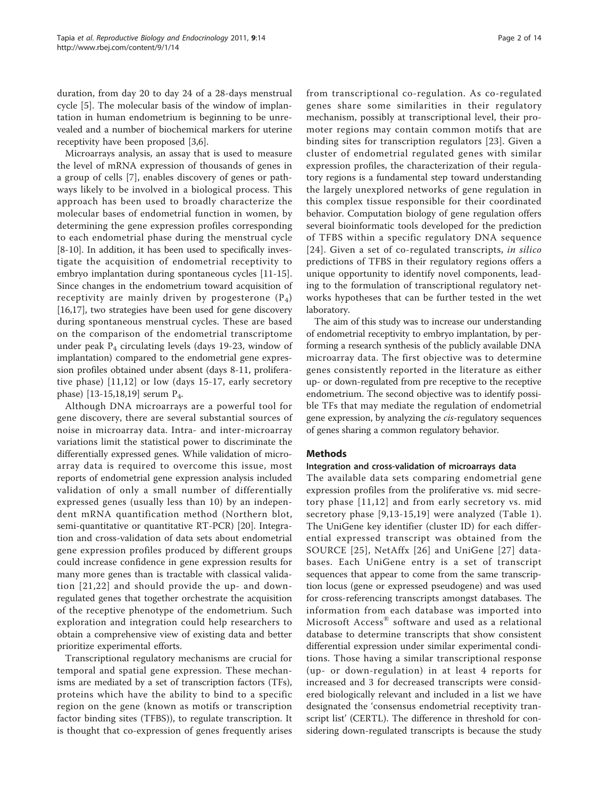duration, from day 20 to day 24 of a 28-days menstrual cycle [[5](#page-9-0)]. The molecular basis of the window of implantation in human endometrium is beginning to be unrevealed and a number of biochemical markers for uterine receptivity have been proposed [\[3](#page-9-0)[,6](#page-10-0)].

Microarrays analysis, an assay that is used to measure the level of mRNA expression of thousands of genes in a group of cells [[7](#page-10-0)], enables discovery of genes or pathways likely to be involved in a biological process. This approach has been used to broadly characterize the molecular bases of endometrial function in women, by determining the gene expression profiles corresponding to each endometrial phase during the menstrual cycle [[8-10](#page-10-0)]. In addition, it has been used to specifically investigate the acquisition of endometrial receptivity to embryo implantation during spontaneous cycles [[11-15](#page-10-0)]. Since changes in the endometrium toward acquisition of receptivity are mainly driven by progesterone  $(P_4)$ [[16,17\]](#page-10-0), two strategies have been used for gene discovery during spontaneous menstrual cycles. These are based on the comparison of the endometrial transcriptome under peak  $P_4$  circulating levels (days 19-23, window of implantation) compared to the endometrial gene expression profiles obtained under absent (days 8-11, proliferative phase) [\[11,12](#page-10-0)] or low (days 15-17, early secretory phase) [\[13-15,18,19](#page-10-0)] serum  $P_4$ .

Although DNA microarrays are a powerful tool for gene discovery, there are several substantial sources of noise in microarray data. Intra- and inter-microarray variations limit the statistical power to discriminate the differentially expressed genes. While validation of microarray data is required to overcome this issue, most reports of endometrial gene expression analysis included validation of only a small number of differentially expressed genes (usually less than 10) by an independent mRNA quantification method (Northern blot, semi-quantitative or quantitative RT-PCR) [\[20](#page-10-0)]. Integration and cross-validation of data sets about endometrial gene expression profiles produced by different groups could increase confidence in gene expression results for many more genes than is tractable with classical validation [[21,22](#page-10-0)] and should provide the up- and downregulated genes that together orchestrate the acquisition of the receptive phenotype of the endometrium. Such exploration and integration could help researchers to obtain a comprehensive view of existing data and better prioritize experimental efforts.

Transcriptional regulatory mechanisms are crucial for temporal and spatial gene expression. These mechanisms are mediated by a set of transcription factors (TFs), proteins which have the ability to bind to a specific region on the gene (known as motifs or transcription factor binding sites (TFBS)), to regulate transcription. It is thought that co-expression of genes frequently arises from transcriptional co-regulation. As co-regulated genes share some similarities in their regulatory mechanism, possibly at transcriptional level, their promoter regions may contain common motifs that are binding sites for transcription regulators [[23](#page-10-0)]. Given a cluster of endometrial regulated genes with similar expression profiles, the characterization of their regulatory regions is a fundamental step toward understanding the largely unexplored networks of gene regulation in this complex tissue responsible for their coordinated behavior. Computation biology of gene regulation offers several bioinformatic tools developed for the prediction of TFBS within a specific regulatory DNA sequence [[24\]](#page-10-0). Given a set of co-regulated transcripts, *in silico* predictions of TFBS in their regulatory regions offers a unique opportunity to identify novel components, leading to the formulation of transcriptional regulatory networks hypotheses that can be further tested in the wet laboratory.

The aim of this study was to increase our understanding of endometrial receptivity to embryo implantation, by performing a research synthesis of the publicly available DNA microarray data. The first objective was to determine genes consistently reported in the literature as either up- or down-regulated from pre receptive to the receptive endometrium. The second objective was to identify possible TFs that may mediate the regulation of endometrial gene expression, by analyzing the cis-regulatory sequences of genes sharing a common regulatory behavior.

# Methods

## Integration and cross-validation of microarrays data

The available data sets comparing endometrial gene expression profiles from the proliferative vs. mid secretory phase [[11](#page-10-0),[12](#page-10-0)] and from early secretory vs. mid secretory phase [\[9,13](#page-10-0)-[15,19](#page-10-0)] were analyzed (Table [1\)](#page-2-0). The UniGene key identifier (cluster ID) for each differential expressed transcript was obtained from the SOURCE [[25\]](#page-10-0), NetAffx [[26](#page-10-0)] and UniGene [[27](#page-10-0)] databases. Each UniGene entry is a set of transcript sequences that appear to come from the same transcription locus (gene or expressed pseudogene) and was used for cross-referencing transcripts amongst databases. The information from each database was imported into Microsoft Access® software and used as a relational database to determine transcripts that show consistent differential expression under similar experimental conditions. Those having a similar transcriptional response (up- or down-regulation) in at least 4 reports for increased and 3 for decreased transcripts were considered biologically relevant and included in a list we have designated the 'consensus endometrial receptivity transcript list' (CERTL). The difference in threshold for considering down-regulated transcripts is because the study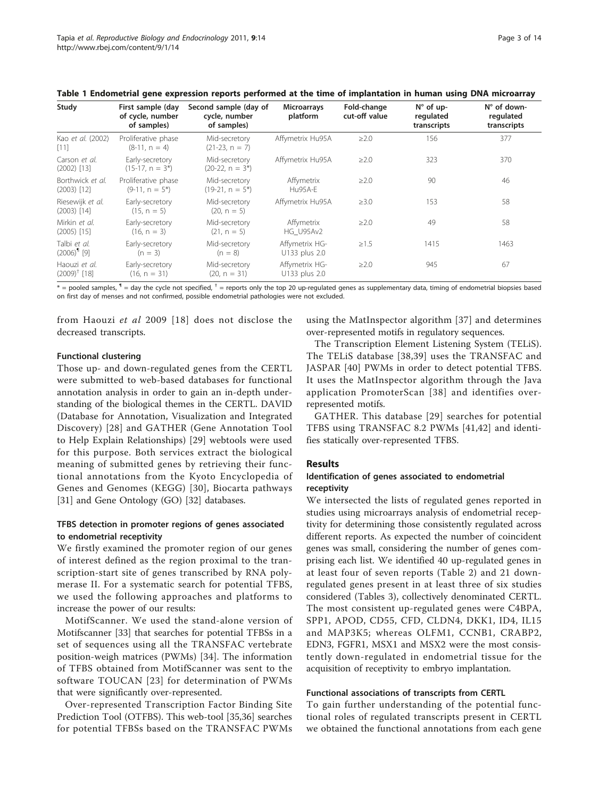| Study                                    | First sample (day<br>of cycle, number<br>of samples) | Second sample (day of<br>cycle, number<br>of samples) | <b>Microarrays</b><br>platform  | Fold-change<br>cut-off value | $N^{\circ}$ of up-<br>regulated<br>transcripts | N° of down-<br>regulated<br>transcripts |
|------------------------------------------|------------------------------------------------------|-------------------------------------------------------|---------------------------------|------------------------------|------------------------------------------------|-----------------------------------------|
| Kao et al. (2002)<br>$[11]$              | Proliferative phase<br>$(8-11, n = 4)$               | Mid-secretory<br>$(21-23, n = 7)$                     | Affymetrix Hu95A                | $\geq$ 2.0                   | 156                                            | 377                                     |
| Carson et al.<br>$(2002)$ [13]           | Early-secretory<br>$(15-17, n = 3^*)$                | Mid-secretory<br>$(20-22, n = 3^*)$                   | Affymetrix Hu95A                | $\geq$ 2.0                   | 323                                            | 370                                     |
| Borthwick et al.<br>$(2003)$ [12]        | Proliferative phase<br>$(9-11, n = 5^*)$             | Mid-secretory<br>$(19-21, n = 5^*)$                   | Affymetrix<br>Hu95A-E           | $\geq$ 2.0                   | 90                                             | 46                                      |
| Riesewijk et al.<br>$(2003)$ [14]        | Early-secretory<br>$(15, n = 5)$                     | Mid-secretory<br>$(20, n = 5)$                        | Affymetrix Hu95A                | $\geq 3.0$                   | 153                                            | 58                                      |
| Mirkin et al.<br>$(2005)$ [15]           | Early-secretory<br>$(16, n = 3)$                     | Mid-secretory<br>$(21, n = 5)$                        | Affymetrix<br>HG U95Av2         | $\geq$ 2.0                   | 49                                             | 58                                      |
| Talbi et al.<br>$(2006)^9$ [9]           | Early-secretory<br>$(n = 3)$                         | Mid-secretory<br>$(n = 8)$                            | Affymetrix HG-<br>U133 plus 2.0 | $\geq 1.5$                   | 1415                                           | 1463                                    |
| Haouzi et al.<br>$(2009)^{\dagger}$ [18] | Early-secretory<br>$(16, n = 31)$                    | Mid-secretory<br>$(20, n = 31)$                       | Affymetrix HG-<br>U133 plus 2.0 | $\geq$ 2.0                   | 945                                            | 67                                      |

<span id="page-2-0"></span>Table 1 Endometrial gene expression reports performed at the time of implantation in human using DNA microarray

 $*$  = pooled samples,  $\P$  = day the cycle not specified,  $\dagger$  = reports only the top 20 up-regulated genes as supplementary data, timing of endometrial biopsies based on first day of menses and not confirmed, possible endometrial pathologies were not excluded.

from Haouzi et al 2009 [[18\]](#page-10-0) does not disclose the decreased transcripts.

#### Functional clustering

Those up- and down-regulated genes from the CERTL were submitted to web-based databases for functional annotation analysis in order to gain an in-depth understanding of the biological themes in the CERTL. DAVID (Database for Annotation, Visualization and Integrated Discovery) [[28\]](#page-10-0) and GATHER (Gene Annotation Tool to Help Explain Relationships) [[29\]](#page-10-0) webtools were used for this purpose. Both services extract the biological meaning of submitted genes by retrieving their functional annotations from the Kyoto Encyclopedia of Genes and Genomes (KEGG) [[30](#page-10-0)], Biocarta pathways [[31\]](#page-10-0) and Gene Ontology (GO) [[32](#page-10-0)] databases.

# TFBS detection in promoter regions of genes associated to endometrial receptivity

We firstly examined the promoter region of our genes of interest defined as the region proximal to the transcription-start site of genes transcribed by RNA polymerase II. For a systematic search for potential TFBS, we used the following approaches and platforms to increase the power of our results:

MotifScanner. We used the stand-alone version of Motifscanner [[33](#page-10-0)] that searches for potential TFBSs in a set of sequences using all the TRANSFAC vertebrate position-weigh matrices (PWMs) [\[34](#page-10-0)]. The information of TFBS obtained from MotifScanner was sent to the software TOUCAN [[23\]](#page-10-0) for determination of PWMs that were significantly over-represented.

Over-represented Transcription Factor Binding Site Prediction Tool (OTFBS). This web-tool [\[35,36](#page-10-0)] searches for potential TFBSs based on the TRANSFAC PWMs using the MatInspector algorithm [[37](#page-10-0)] and determines over-represented motifs in regulatory sequences.

The Transcription Element Listening System (TELiS). The TELiS database [[38,39](#page-10-0)] uses the TRANSFAC and JASPAR [[40\]](#page-10-0) PWMs in order to detect potential TFBS. It uses the MatInspector algorithm through the Java application PromoterScan [[38](#page-10-0)] and identifies overrepresented motifs.

GATHER. This database [[29](#page-10-0)] searches for potential TFBS using TRANSFAC 8.2 PWMs [[41,42](#page-10-0)] and identifies statically over-represented TFBS.

#### Results

# Identification of genes associated to endometrial receptivity

We intersected the lists of regulated genes reported in studies using microarrays analysis of endometrial receptivity for determining those consistently regulated across different reports. As expected the number of coincident genes was small, considering the number of genes comprising each list. We identified 40 up-regulated genes in at least four of seven reports (Table [2](#page-3-0)) and 21 downregulated genes present in at least three of six studies considered (Tables [3](#page-4-0)), collectively denominated CERTL. The most consistent up-regulated genes were C4BPA, SPP1, APOD, CD55, CFD, CLDN4, DKK1, ID4, IL15 and MAP3K5; whereas OLFM1, CCNB1, CRABP2, EDN3, FGFR1, MSX1 and MSX2 were the most consistently down-regulated in endometrial tissue for the acquisition of receptivity to embryo implantation.

#### Functional associations of transcripts from CERTL

To gain further understanding of the potential functional roles of regulated transcripts present in CERTL we obtained the functional annotations from each gene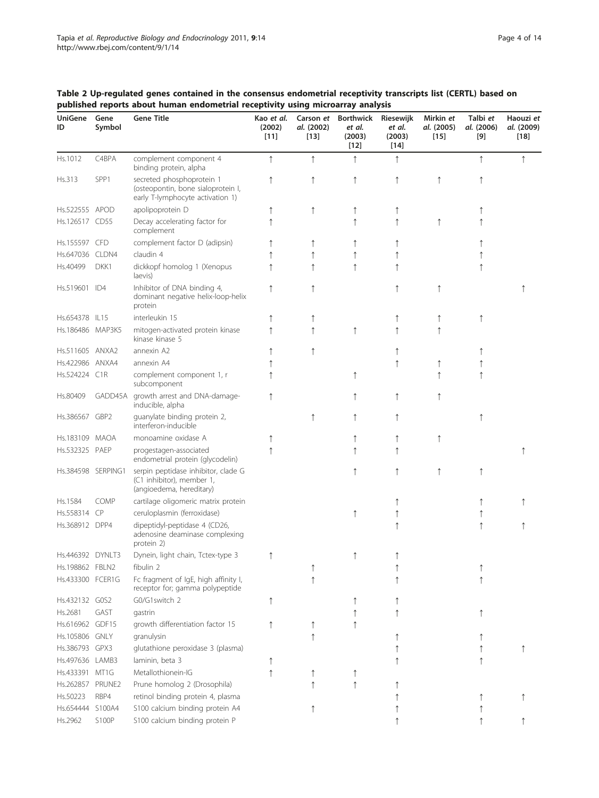| UniGene<br>ID    | Gene<br>Symbol     | <b>Gene Title</b>                                                                                   | Kao et al.<br>(2002)<br>$[11]$ | Carson et<br>al. (2002)<br>$[13]$ | <b>Borthwick</b><br>et al.<br>(2003)<br>$[12]$ | Riesewijk<br>et al.<br>(2003)<br>$[14]$ | Mirkin et<br>al. (2005)<br>$[15]$ | Talbi et<br>al. (2006)<br>[9] | Haouzi et<br>al. (2009)<br>$[18]$ |
|------------------|--------------------|-----------------------------------------------------------------------------------------------------|--------------------------------|-----------------------------------|------------------------------------------------|-----------------------------------------|-----------------------------------|-------------------------------|-----------------------------------|
| Hs.1012          | C4BPA              | complement component 4<br>binding protein, alpha                                                    | ↑                              | $\uparrow$                        | ↑                                              | ↑                                       |                                   | $\uparrow$                    |                                   |
| Hs.313           | SPP1               | secreted phosphoprotein 1<br>(osteopontin, bone sialoprotein I,<br>early T-lymphocyte activation 1) | ↑                              | ↑                                 | ↑                                              |                                         | ↑                                 | ↑                             |                                   |
| Hs.522555 APOD   |                    | apolipoprotein D                                                                                    |                                | ↑                                 | ↑                                              |                                         |                                   |                               |                                   |
| Hs.126517 CD55   |                    | Decay accelerating factor for<br>complement                                                         |                                |                                   | $\uparrow$                                     |                                         | ↑                                 |                               |                                   |
| Hs.155597        | <b>CFD</b>         | complement factor D (adipsin)                                                                       |                                |                                   | ↑                                              |                                         |                                   |                               |                                   |
| Hs.647036 CLDN4  |                    | claudin 4                                                                                           |                                | ↑                                 | $\uparrow$                                     |                                         |                                   |                               |                                   |
| Hs.40499         | DKK1               | dickkopf homolog 1 (Xenopus<br>laevis)                                                              |                                | $\uparrow$                        | $\uparrow$                                     |                                         |                                   | ↑                             |                                   |
| Hs.519601 ID4    |                    | Inhibitor of DNA binding 4,<br>dominant negative helix-loop-helix<br>protein                        |                                | ↑                                 |                                                |                                         | ↑                                 |                               |                                   |
| Hs.654378 IL15   |                    | interleukin 15                                                                                      |                                |                                   |                                                |                                         |                                   | ↑                             |                                   |
| Hs.186486 MAP3K5 |                    | mitogen-activated protein kinase<br>kinase kinase 5                                                 |                                | $\uparrow$                        | $\uparrow$                                     |                                         | ↑                                 |                               |                                   |
| Hs.511605 ANXA2  |                    | annexin A2                                                                                          |                                | $\uparrow$                        |                                                |                                         |                                   |                               |                                   |
| Hs.422986 ANXA4  |                    | annexin A4                                                                                          |                                |                                   |                                                |                                         | ↑                                 |                               |                                   |
| Hs.524224 C1R    |                    | complement component 1, r<br>subcomponent                                                           |                                |                                   | ↑                                              |                                         |                                   | ↑                             |                                   |
| Hs.80409         | GADD45A            | growth arrest and DNA-damage-<br>inducible, alpha                                                   | ↑                              |                                   | ↑                                              |                                         | ↑                                 |                               |                                   |
| Hs.386567 GBP2   |                    | guanylate binding protein 2,<br>interferon-inducible                                                |                                | ↑                                 | ↑                                              |                                         |                                   | ↑                             |                                   |
| Hs.183109 MAOA   |                    | monoamine oxidase A                                                                                 |                                |                                   | ↑                                              |                                         | ↑                                 |                               |                                   |
| Hs.532325 PAEP   |                    | progestagen-associated<br>endometrial protein (glycodelin)                                          |                                |                                   | ↑                                              |                                         |                                   |                               |                                   |
|                  | Hs.384598 SERPING1 | serpin peptidase inhibitor, clade G<br>(C1 inhibitor), member 1,<br>(angioedema, hereditary)        |                                |                                   | ↑                                              |                                         | $\uparrow$                        | $\uparrow$                    |                                   |
| Hs.1584          | COMP               | cartilage oligomeric matrix protein                                                                 |                                |                                   |                                                |                                         |                                   |                               |                                   |
| Hs.558314 CP     |                    | ceruloplasmin (ferroxidase)                                                                         |                                |                                   | ↑                                              |                                         |                                   |                               |                                   |
| Hs.368912 DPP4   |                    | dipeptidyl-peptidase 4 (CD26,<br>adenosine deaminase complexing<br>protein 2)                       |                                |                                   |                                                |                                         |                                   | $\uparrow$                    |                                   |
| Hs.446392 DYNLT3 |                    | Dynein, light chain, Tctex-type 3                                                                   | $\uparrow$                     |                                   | ↑                                              | ↑                                       |                                   |                               |                                   |
| Hs.198862 FBLN2  |                    | fibulin 2                                                                                           |                                |                                   |                                                |                                         |                                   |                               |                                   |
| Hs.433300 FCER1G |                    | Fc fragment of IgE, high affinity I,<br>receptor for; gamma polypeptide                             |                                |                                   |                                                |                                         |                                   |                               |                                   |
| Hs.432132 GOS2   |                    | G0/G1switch 2                                                                                       |                                |                                   |                                                |                                         |                                   |                               |                                   |
| Hs.2681          | GAST               | gastrin                                                                                             |                                |                                   |                                                |                                         |                                   |                               |                                   |
| Hs.616962 GDF15  |                    | growth differentiation factor 15                                                                    |                                |                                   |                                                |                                         |                                   |                               |                                   |
| Hs.105806 GNLY   |                    | granulysin                                                                                          |                                | $\uparrow$                        |                                                |                                         |                                   |                               |                                   |
| Hs.386793 GPX3   |                    | glutathione peroxidase 3 (plasma)                                                                   |                                |                                   |                                                |                                         |                                   |                               |                                   |
| Hs.497636 LAMB3  |                    | laminin, beta 3                                                                                     |                                |                                   |                                                |                                         |                                   |                               |                                   |
| Hs.433391 MT1G   |                    | Metallothionein-IG                                                                                  |                                |                                   | ↑                                              |                                         |                                   |                               |                                   |
| Hs.262857 PRUNE2 |                    | Prune homolog 2 (Drosophila)                                                                        |                                | $\uparrow$                        | $\uparrow$                                     |                                         |                                   |                               |                                   |
| Hs.50223         | RBP4               | retinol binding protein 4, plasma                                                                   |                                |                                   |                                                |                                         |                                   |                               |                                   |
| Hs.654444 S100A4 |                    | S100 calcium binding protein A4                                                                     |                                |                                   |                                                |                                         |                                   |                               |                                   |
| Hs.2962          | S100P              | S100 calcium binding protein P                                                                      |                                |                                   |                                                |                                         |                                   |                               |                                   |

<span id="page-3-0"></span>Table 2 Up-regulated genes contained in the consensus endometrial receptivity transcripts list (CERTL) based on published reports about human endometrial receptivity using microarray analysis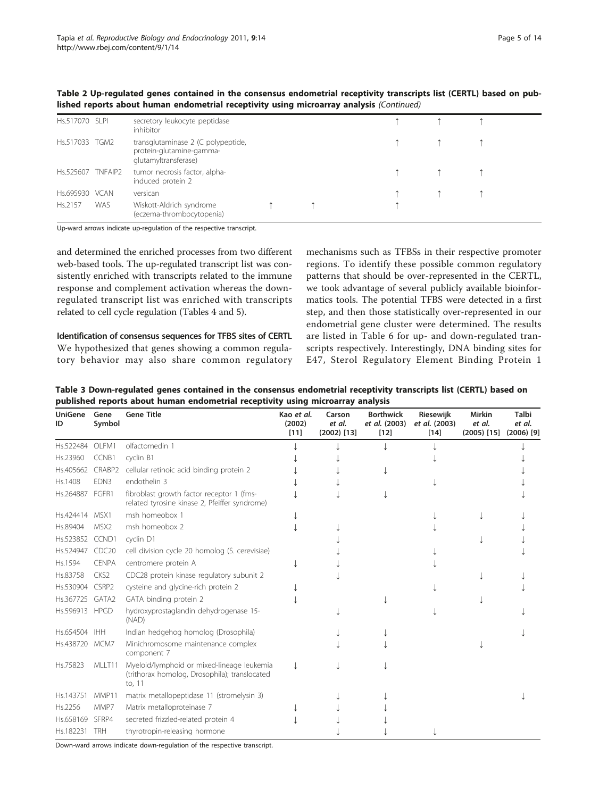| Hs.517070 SLPI    |     | secretory leukocyte peptidase<br>inhibitor                                             |  |  |  |
|-------------------|-----|----------------------------------------------------------------------------------------|--|--|--|
| Hs.517033 TGM2    |     | transglutaminase 2 (C polypeptide,<br>protein-glutamine-gamma-<br>glutamyltransferase) |  |  |  |
| Hs.525607 TNFAIP2 |     | tumor necrosis factor, alpha-<br>induced protein 2                                     |  |  |  |
| Hs.695930 VCAN    |     | versican                                                                               |  |  |  |
| Hs.2157           | WAS | Wiskott-Aldrich syndrome<br>(eczema-thrombocytopenia)                                  |  |  |  |

<span id="page-4-0"></span>Table 2 Up-regulated genes contained in the consensus endometrial receptivity transcripts list (CERTL) based on published reports about human endometrial receptivity using microarray analysis (Continued)

Up-ward arrows indicate up-regulation of the respective transcript.

and determined the enriched processes from two different web-based tools. The up-regulated transcript list was consistently enriched with transcripts related to the immune response and complement activation whereas the downregulated transcript list was enriched with transcripts related to cell cycle regulation (Tables [4](#page-5-0) and [5\)](#page-5-0).

Identification of consensus sequences for TFBS sites of CERTL We hypothesized that genes showing a common regulatory behavior may also share common regulatory

mechanisms such as TFBSs in their respective promoter regions. To identify these possible common regulatory patterns that should be over-represented in the CERTL, we took advantage of several publicly available bioinformatics tools. The potential TFBS were detected in a first step, and then those statistically over-represented in our endometrial gene cluster were determined. The results are listed in Table [6](#page-6-0) for up- and down-regulated transcripts respectively. Interestingly, DNA binding sites for E47, Sterol Regulatory Element Binding Protein 1

Table 3 Down-regulated genes contained in the consensus endometrial receptivity transcripts list (CERTL) based on published reports about human endometrial receptivity using microarray analysis

| <b>UniGene</b><br>ID | Gene<br>Symbol    | <b>Gene Title</b>                                                                                     | Kao et al.<br>(2002)<br>$[11]$ | Carson<br>et al.<br>$(2002)$ [13] | <b>Borthwick</b><br>et al. (2003)<br>$[12]$ | Riesewijk<br>et al. (2003)<br>$[14]$ | <b>Mirkin</b><br>et al.<br>$(2005)$ [15] | Talbi<br>et al.<br>$(2006)$ [9] |
|----------------------|-------------------|-------------------------------------------------------------------------------------------------------|--------------------------------|-----------------------------------|---------------------------------------------|--------------------------------------|------------------------------------------|---------------------------------|
| Hs.522484            | OLFM1             | olfactomedin 1                                                                                        |                                |                                   |                                             |                                      |                                          |                                 |
| Hs.23960             | CCNB1             | cyclin B1                                                                                             |                                |                                   |                                             |                                      |                                          |                                 |
| Hs.405662            | CRABP2            | cellular retinoic acid binding protein 2                                                              |                                |                                   |                                             |                                      |                                          |                                 |
| Hs.1408              | EDN3              | endothelin 3                                                                                          |                                |                                   |                                             |                                      |                                          |                                 |
| Hs.264887 FGFR1      |                   | fibroblast growth factor receptor 1 (fms-<br>related tyrosine kinase 2, Pfeiffer syndrome)            |                                |                                   |                                             |                                      |                                          |                                 |
| Hs.424414 MSX1       |                   | msh homeobox 1                                                                                        |                                |                                   |                                             |                                      |                                          |                                 |
| Hs.89404             | MSX <sub>2</sub>  | msh homeobox 2                                                                                        |                                |                                   |                                             |                                      |                                          |                                 |
| Hs.523852 CCND1      |                   | cyclin D1                                                                                             |                                |                                   |                                             |                                      |                                          |                                 |
| Hs.524947            | CDC <sub>20</sub> | cell division cycle 20 homolog (S. cerevisiae)                                                        |                                |                                   |                                             |                                      |                                          |                                 |
| Hs.1594              | <b>CENPA</b>      | centromere protein A                                                                                  |                                |                                   |                                             |                                      |                                          |                                 |
| Hs.83758             | CKS <sub>2</sub>  | CDC28 protein kinase regulatory subunit 2                                                             |                                |                                   |                                             |                                      |                                          |                                 |
| Hs.530904            | CSRP2             | cysteine and glycine-rich protein 2                                                                   |                                |                                   |                                             |                                      |                                          |                                 |
| Hs.367725 GATA2      |                   | GATA binding protein 2                                                                                |                                |                                   |                                             |                                      |                                          |                                 |
| Hs.596913 HPGD       |                   | hydroxyprostaglandin dehydrogenase 15-<br>(NAD)                                                       |                                |                                   |                                             |                                      |                                          |                                 |
| Hs.654504            | IHH               | Indian hedgehog homolog (Drosophila)                                                                  |                                |                                   |                                             |                                      |                                          |                                 |
| Hs.438720 MCM7       |                   | Minichromosome maintenance complex<br>component 7                                                     |                                |                                   |                                             |                                      |                                          |                                 |
| Hs.75823             | MLLT11            | Myeloid/lymphoid or mixed-lineage leukemia<br>(trithorax homolog, Drosophila); translocated<br>to, 11 |                                |                                   |                                             |                                      |                                          |                                 |
| Hs.143751            | MMP11             | matrix metallopeptidase 11 (stromelysin 3)                                                            |                                |                                   |                                             |                                      |                                          |                                 |
| Hs.2256              | MMP7              | Matrix metalloproteinase 7                                                                            |                                |                                   |                                             |                                      |                                          |                                 |
| Hs.658169            | SFRP4             | secreted frizzled-related protein 4                                                                   |                                |                                   |                                             |                                      |                                          |                                 |
| Hs.182231            | <b>TRH</b>        | thyrotropin-releasing hormone                                                                         |                                |                                   |                                             |                                      |                                          |                                 |

Down-ward arrows indicate down-regulation of the respective transcript.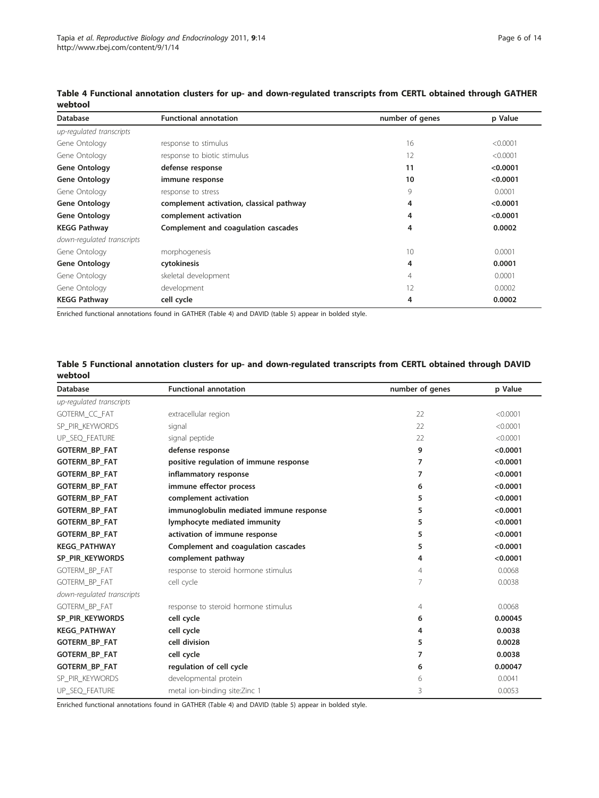| <b>Database</b>                                                  | <b>Functional annotation</b> | number of genes | p Value  |
|------------------------------------------------------------------|------------------------------|-----------------|----------|
| up-regulated transcripts                                         |                              |                 |          |
| Gene Ontology                                                    | response to stimulus         | 16              | < 0.0001 |
| Gene Ontology                                                    | response to biotic stimulus  | 12              | < 0.0001 |
| <b>Gene Ontology</b>                                             | defense response             | 11              | < 0.0001 |
| <b>Gene Ontology</b>                                             | immune response              | 10              | < 0.0001 |
| Gene Ontology                                                    | response to stress           | 9               | 0.0001   |
| <b>Gene Ontology</b><br>complement activation, classical pathway |                              | 4               | < 0.0001 |
| <b>Gene Ontology</b><br>complement activation                    |                              | 4               | < 0.0001 |
| <b>KEGG Pathway</b><br>Complement and coagulation cascades       |                              | 4               | 0.0002   |
| down-regulated transcripts                                       |                              |                 |          |
| Gene Ontology                                                    | morphogenesis                | 10              | 0.0001   |
| <b>Gene Ontology</b><br>cytokinesis                              |                              | 4               | 0.0001   |
| Gene Ontology                                                    | skeletal development         | 4               | 0.0001   |
| Gene Ontology                                                    | development                  | 12              | 0.0002   |
| <b>KEGG Pathway</b><br>cell cycle                                |                              | 4               | 0.0002   |

<span id="page-5-0"></span>Table 4 Functional annotation clusters for up- and down-regulated transcripts from CERTL obtained through GATHER webtool

Enriched functional annotations found in GATHER (Table 4) and DAVID (table 5) appear in bolded style.

Table 5 Functional annotation clusters for up- and down-regulated transcripts from CERTL obtained through DAVID webtool

| <b>Database</b>            | <b>Functional annotation</b>            | number of genes | p Value  |
|----------------------------|-----------------------------------------|-----------------|----------|
| up-regulated transcripts   |                                         |                 |          |
| GOTERM CC FAT              | extracellular region                    | 22              | < 0.0001 |
| SP PIR KEYWORDS            | signal                                  | 22              | < 0.0001 |
| UP_SEQ_FEATURE             | signal peptide                          | 22              | < 0.0001 |
| <b>GOTERM BP FAT</b>       | defense response                        | 9               | < 0.0001 |
| <b>GOTERM_BP_FAT</b>       | positive regulation of immune response  | 7               | < 0.0001 |
| <b>GOTERM_BP_FAT</b>       | inflammatory response                   | 7               | < 0.0001 |
| <b>GOTERM BP FAT</b>       | immune effector process                 | 6               | < 0.0001 |
| <b>GOTERM_BP_FAT</b>       | complement activation                   | 5               | < 0.0001 |
| <b>GOTERM BP FAT</b>       | immunoglobulin mediated immune response | 5               | < 0.0001 |
| <b>GOTERM_BP_FAT</b>       | lymphocyte mediated immunity            | 5               | < 0.0001 |
| <b>GOTERM BP FAT</b>       | activation of immune response           | 5               | < 0.0001 |
| <b>KEGG PATHWAY</b>        | Complement and coagulation cascades     | 5               | < 0.0001 |
| SP_PIR_KEYWORDS            | complement pathway                      | 4               | < 0.0001 |
| GOTERM_BP_FAT              | response to steroid hormone stimulus    | $\overline{4}$  | 0.0068   |
| GOTERM_BP_FAT              | cell cycle                              | 7               | 0.0038   |
| down-regulated transcripts |                                         |                 |          |
| GOTERM_BP_FAT              | response to steroid hormone stimulus    | 4               | 0.0068   |
| SP_PIR_KEYWORDS            | cell cycle                              | 6               | 0.00045  |
| <b>KEGG PATHWAY</b>        | cell cycle                              | 4               | 0.0038   |
| <b>GOTERM_BP_FAT</b>       | cell division                           | 5               | 0.0028   |
| <b>GOTERM BP FAT</b>       | cell cycle                              | 7               | 0.0038   |
| <b>GOTERM_BP_FAT</b>       | regulation of cell cycle                | 6               | 0.00047  |
| SP_PIR_KEYWORDS            | developmental protein                   | 6               | 0.0041   |
| UP_SEQ_FEATURE             | metal ion-binding site:Zinc 1           | 3               | 0.0053   |

Enriched functional annotations found in GATHER (Table 4) and DAVID (table 5) appear in bolded style.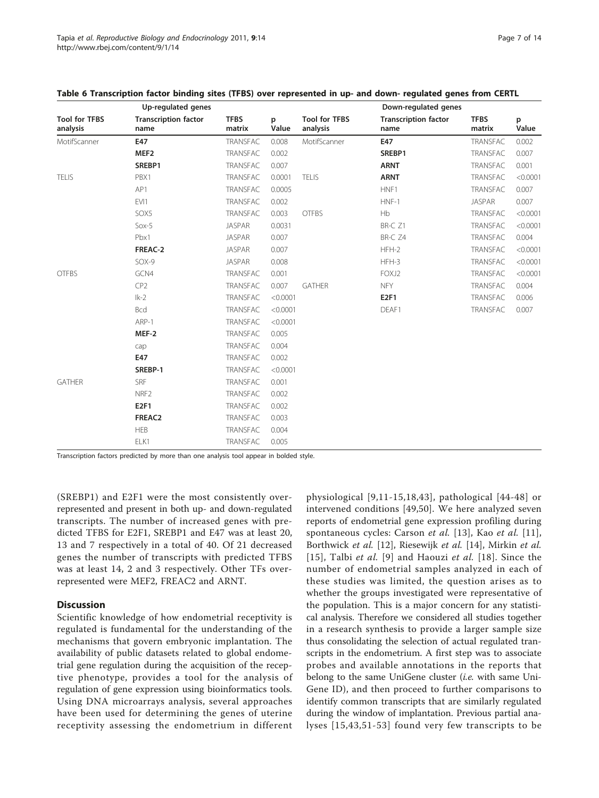|                                  | Up-regulated genes                  |                       |            |                                  | Down-regulated genes                |                       |            |
|----------------------------------|-------------------------------------|-----------------------|------------|----------------------------------|-------------------------------------|-----------------------|------------|
| <b>Tool for TFBS</b><br>analysis | <b>Transcription factor</b><br>name | <b>TFBS</b><br>matrix | p<br>Value | <b>Tool for TFBS</b><br>analysis | <b>Transcription factor</b><br>name | <b>TFBS</b><br>matrix | p<br>Value |
| MotifScanner                     | E47                                 | <b>TRANSFAC</b>       | 0.008      | MotifScanner                     | E47                                 | <b>TRANSFAC</b>       | 0.002      |
|                                  | MEF <sub>2</sub>                    | <b>TRANSFAC</b>       | 0.002      |                                  | SREBP1                              | <b>TRANSFAC</b>       | 0.007      |
|                                  | SREBP1                              | TRANSFAC              | 0.007      |                                  | <b>ARNT</b>                         | <b>TRANSFAC</b>       | 0.001      |
| <b>TELIS</b>                     | PBX1                                | <b>TRANSFAC</b>       | 0.0001     | <b>TELIS</b>                     | <b>ARNT</b>                         | <b>TRANSFAC</b>       | < 0.0001   |
|                                  | AP1                                 | <b>TRANSFAC</b>       | 0.0005     |                                  | HNF1                                | <b>TRANSFAC</b>       | 0.007      |
|                                  | EVI1                                | <b>TRANSFAC</b>       | 0.002      |                                  | $HNF-1$                             | <b>JASPAR</b>         | 0.007      |
|                                  | SOX5                                | <b>TRANSFAC</b>       | 0.003      | <b>OTFBS</b>                     | Hb                                  | <b>TRANSFAC</b>       | < 0.0001   |
|                                  | $Sox-5$                             | <b>JASPAR</b>         | 0.0031     |                                  | BR-C Z1                             | <b>TRANSFAC</b>       | < 0.0001   |
|                                  | Pbx1                                | <b>JASPAR</b>         | 0.007      |                                  | BR-C Z4                             | <b>TRANSFAC</b>       | 0.004      |
|                                  | FREAC-2                             | <b>JASPAR</b>         | 0.007      |                                  | $HFH-2$                             | <b>TRANSFAC</b>       | < 0.0001   |
|                                  | $SOX-9$                             | <b>JASPAR</b>         | 0.008      |                                  | HFH-3                               | <b>TRANSFAC</b>       | < 0.0001   |
| <b>OTFBS</b>                     | GCN4                                | <b>TRANSFAC</b>       | 0.001      |                                  | FOXJ2                               | <b>TRANSFAC</b>       | < 0.0001   |
|                                  | CP <sub>2</sub>                     | <b>TRANSFAC</b>       | 0.007      | <b>GATHER</b>                    | <b>NFY</b>                          | <b>TRANSFAC</b>       | 0.004      |
|                                  | $lk-2$                              | TRANSFAC              | < 0.0001   |                                  | E2F1                                | <b>TRANSFAC</b>       | 0.006      |
|                                  | Bcd                                 | <b>TRANSFAC</b>       | < 0.0001   |                                  | DEAF1                               | <b>TRANSFAC</b>       | 0.007      |
|                                  | ARP-1                               | <b>TRANSFAC</b>       | < 0.0001   |                                  |                                     |                       |            |
|                                  | MEF-2                               | <b>TRANSFAC</b>       | 0.005      |                                  |                                     |                       |            |
|                                  | cap                                 | <b>TRANSFAC</b>       | 0.004      |                                  |                                     |                       |            |
|                                  | E47                                 | <b>TRANSFAC</b>       | 0.002      |                                  |                                     |                       |            |
|                                  | SREBP-1                             | <b>TRANSFAC</b>       | < 0.0001   |                                  |                                     |                       |            |
| <b>GATHER</b>                    | SRF                                 | TRANSFAC              | 0.001      |                                  |                                     |                       |            |
|                                  | NRF <sub>2</sub>                    | <b>TRANSFAC</b>       | 0.002      |                                  |                                     |                       |            |
|                                  | E2F1                                | <b>TRANSFAC</b>       | 0.002      |                                  |                                     |                       |            |
|                                  | FREAC2                              | <b>TRANSFAC</b>       | 0.003      |                                  |                                     |                       |            |
|                                  | <b>HEB</b>                          | TRANSFAC              | 0.004      |                                  |                                     |                       |            |
|                                  | ELK1                                | <b>TRANSFAC</b>       | 0.005      |                                  |                                     |                       |            |

<span id="page-6-0"></span>

|  |  | Table 6 Transcription factor binding sites (TFBS) over represented in up- and down- regulated genes from CERTL |
|--|--|----------------------------------------------------------------------------------------------------------------|
|--|--|----------------------------------------------------------------------------------------------------------------|

Transcription factors predicted by more than one analysis tool appear in bolded style.

(SREBP1) and E2F1 were the most consistently overrepresented and present in both up- and down-regulated transcripts. The number of increased genes with predicted TFBS for E2F1, SREBP1 and E47 was at least 20, 13 and 7 respectively in a total of 40. Of 21 decreased genes the number of transcripts with predicted TFBS was at least 14, 2 and 3 respectively. Other TFs overrepresented were MEF2, FREAC2 and ARNT.

# **Discussion**

Scientific knowledge of how endometrial receptivity is regulated is fundamental for the understanding of the mechanisms that govern embryonic implantation. The availability of public datasets related to global endometrial gene regulation during the acquisition of the receptive phenotype, provides a tool for the analysis of regulation of gene expression using bioinformatics tools. Using DNA microarrays analysis, several approaches have been used for determining the genes of uterine receptivity assessing the endometrium in different

physiological [[9](#page-10-0),[11-15](#page-10-0),[18](#page-10-0),[43](#page-10-0)], pathological [\[44-48](#page-10-0)] or intervened conditions [[49,50\]](#page-10-0). We here analyzed seven reports of endometrial gene expression profiling during spontaneous cycles: Carson et al. [[13\]](#page-10-0), Kao et al. [[11](#page-10-0)], Borthwick et al. [\[12](#page-10-0)], Riesewijk et al. [[14\]](#page-10-0), Mirkin et al. [[15\]](#page-10-0), Talbi et al. [\[9\]](#page-10-0) and Haouzi et al. [[18](#page-10-0)]. Since the number of endometrial samples analyzed in each of these studies was limited, the question arises as to whether the groups investigated were representative of the population. This is a major concern for any statistical analysis. Therefore we considered all studies together in a research synthesis to provide a larger sample size thus consolidating the selection of actual regulated transcripts in the endometrium. A first step was to associate probes and available annotations in the reports that belong to the same UniGene cluster (i.e. with same Uni-Gene ID), and then proceed to further comparisons to identify common transcripts that are similarly regulated during the window of implantation. Previous partial analyses [[15,43](#page-10-0),[51-53](#page-11-0)] found very few transcripts to be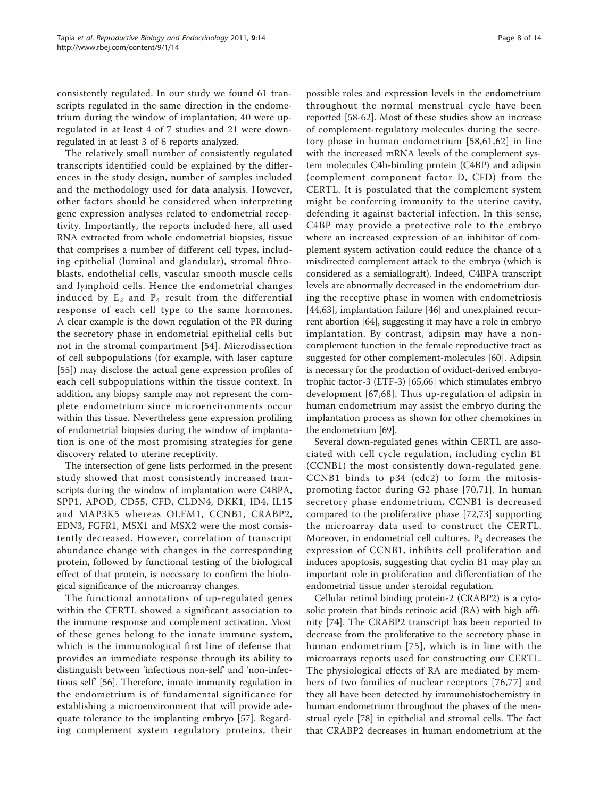consistently regulated. In our study we found 61 transcripts regulated in the same direction in the endometrium during the window of implantation; 40 were upregulated in at least 4 of 7 studies and 21 were downregulated in at least 3 of 6 reports analyzed.

The relatively small number of consistently regulated transcripts identified could be explained by the differences in the study design, number of samples included and the methodology used for data analysis. However, other factors should be considered when interpreting gene expression analyses related to endometrial receptivity. Importantly, the reports included here, all used RNA extracted from whole endometrial biopsies, tissue that comprises a number of different cell types, including epithelial (luminal and glandular), stromal fibroblasts, endothelial cells, vascular smooth muscle cells and lymphoid cells. Hence the endometrial changes induced by  $E_2$  and  $P_4$  result from the differential response of each cell type to the same hormones. A clear example is the down regulation of the PR during the secretory phase in endometrial epithelial cells but not in the stromal compartment [\[54](#page-11-0)]. Microdissection of cell subpopulations (for example, with laser capture [[55\]](#page-11-0)) may disclose the actual gene expression profiles of each cell subpopulations within the tissue context. In addition, any biopsy sample may not represent the complete endometrium since microenvironments occur within this tissue. Nevertheless gene expression profiling of endometrial biopsies during the window of implantation is one of the most promising strategies for gene discovery related to uterine receptivity.

The intersection of gene lists performed in the present study showed that most consistently increased transcripts during the window of implantation were C4BPA, SPP1, APOD, CD55, CFD, CLDN4, DKK1, ID4, IL15 and MAP3K5 whereas OLFM1, CCNB1, CRABP2, EDN3, FGFR1, MSX1 and MSX2 were the most consistently decreased. However, correlation of transcript abundance change with changes in the corresponding protein, followed by functional testing of the biological effect of that protein, is necessary to confirm the biological significance of the microarray changes.

The functional annotations of up-regulated genes within the CERTL showed a significant association to the immune response and complement activation. Most of these genes belong to the innate immune system, which is the immunological first line of defense that provides an immediate response through its ability to distinguish between 'infectious non-self' and 'non-infectious self' [[56\]](#page-11-0). Therefore, innate immunity regulation in the endometrium is of fundamental significance for establishing a microenvironment that will provide adequate tolerance to the implanting embryo [\[57](#page-11-0)]. Regarding complement system regulatory proteins, their

possible roles and expression levels in the endometrium throughout the normal menstrual cycle have been reported [[58-62\]](#page-11-0). Most of these studies show an increase of complement-regulatory molecules during the secretory phase in human endometrium [[58](#page-11-0),[61](#page-11-0),[62](#page-11-0)] in line with the increased mRNA levels of the complement system molecules C4b-binding protein (C4BP) and adipsin (complement component factor D, CFD) from the CERTL. It is postulated that the complement system might be conferring immunity to the uterine cavity, defending it against bacterial infection. In this sense, C4BP may provide a protective role to the embryo where an increased expression of an inhibitor of complement system activation could reduce the chance of a misdirected complement attack to the embryo (which is considered as a semiallograft). Indeed, C4BPA transcript levels are abnormally decreased in the endometrium during the receptive phase in women with endometriosis [[44,](#page-10-0)[63\]](#page-11-0), implantation failure [\[46](#page-10-0)] and unexplained recurrent abortion [\[64\]](#page-11-0), suggesting it may have a role in embryo implantation. By contrast, adipsin may have a noncomplement function in the female reproductive tract as suggested for other complement-molecules [[60](#page-11-0)]. Adipsin is necessary for the production of oviduct-derived embryotrophic factor-3 (ETF-3) [\[65,66\]](#page-11-0) which stimulates embryo development [\[67,68](#page-11-0)]. Thus up-regulation of adipsin in human endometrium may assist the embryo during the implantation process as shown for other chemokines in the endometrium [\[69\]](#page-11-0).

Several down-regulated genes within CERTL are associated with cell cycle regulation, including cyclin B1 (CCNB1) the most consistently down-regulated gene. CCNB1 binds to p34 (cdc2) to form the mitosispromoting factor during G2 phase [[70,71](#page-11-0)]. In human secretory phase endometrium, CCNB1 is decreased compared to the proliferative phase [[72,73](#page-11-0)] supporting the microarray data used to construct the CERTL. Moreover, in endometrial cell cultures, P4 decreases the expression of CCNB1, inhibits cell proliferation and induces apoptosis, suggesting that cyclin B1 may play an important role in proliferation and differentiation of the endometrial tissue under steroidal regulation.

Cellular retinol binding protein-2 (CRABP2) is a cytosolic protein that binds retinoic acid (RA) with high affinity [\[74](#page-11-0)]. The CRABP2 transcript has been reported to decrease from the proliferative to the secretory phase in human endometrium [[75](#page-11-0)], which is in line with the microarrays reports used for constructing our CERTL. The physiological effects of RA are mediated by members of two families of nuclear receptors [[76,77\]](#page-11-0) and they all have been detected by immunohistochemistry in human endometrium throughout the phases of the menstrual cycle [\[78](#page-11-0)] in epithelial and stromal cells. The fact that CRABP2 decreases in human endometrium at the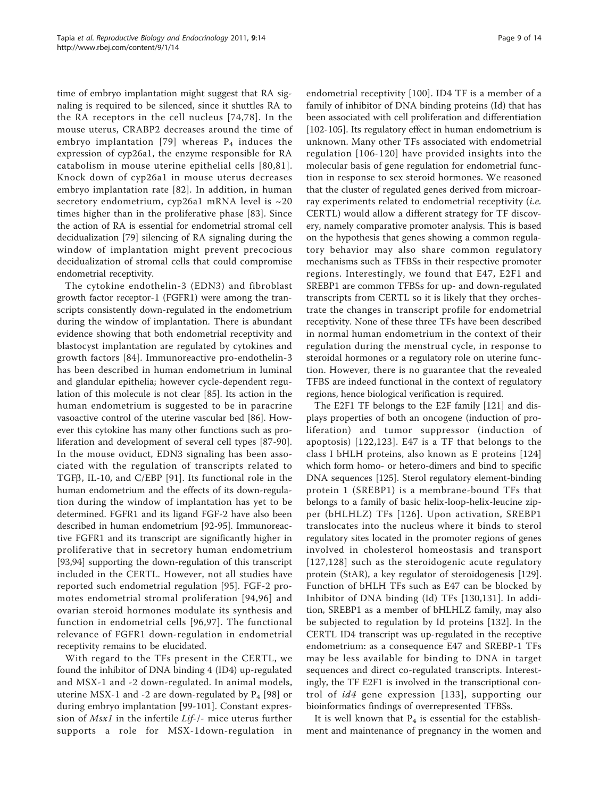time of embryo implantation might suggest that RA signaling is required to be silenced, since it shuttles RA to the RA receptors in the cell nucleus [\[74](#page-11-0),[78](#page-11-0)]. In the mouse uterus, CRABP2 decreases around the time of embryo implantation [[79](#page-11-0)] whereas  $P_4$  induces the expression of cyp26a1, the enzyme responsible for RA catabolism in mouse uterine epithelial cells [[80,81\]](#page-11-0). Knock down of cyp26a1 in mouse uterus decreases embryo implantation rate [[82](#page-11-0)]. In addition, in human secretory endometrium, cyp26a1 mRNA level is ~20 times higher than in the proliferative phase [[83](#page-11-0)]. Since the action of RA is essential for endometrial stromal cell decidualization [[79\]](#page-11-0) silencing of RA signaling during the window of implantation might prevent precocious decidualization of stromal cells that could compromise endometrial receptivity.

The cytokine endothelin-3 (EDN3) and fibroblast growth factor receptor-1 (FGFR1) were among the transcripts consistently down-regulated in the endometrium during the window of implantation. There is abundant evidence showing that both endometrial receptivity and blastocyst implantation are regulated by cytokines and growth factors [[84\]](#page-11-0). Immunoreactive pro-endothelin-3 has been described in human endometrium in luminal and glandular epithelia; however cycle-dependent regulation of this molecule is not clear [[85\]](#page-11-0). Its action in the human endometrium is suggested to be in paracrine vasoactive control of the uterine vascular bed [\[86](#page-11-0)]. However this cytokine has many other functions such as proliferation and development of several cell types [[87-90](#page-11-0)]. In the mouse oviduct, EDN3 signaling has been associated with the regulation of transcripts related to TGFB, IL-10, and C/EBP [[91](#page-11-0)]. Its functional role in the human endometrium and the effects of its down-regulation during the window of implantation has yet to be determined. FGFR1 and its ligand FGF-2 have also been described in human endometrium [\[92](#page-11-0)-[95](#page-12-0)]. Immunoreactive FGFR1 and its transcript are significantly higher in proliferative that in secretory human endometrium [[93,](#page-11-0)[94\]](#page-12-0) supporting the down-regulation of this transcript included in the CERTL. However, not all studies have reported such endometrial regulation [[95](#page-12-0)]. FGF-2 promotes endometrial stromal proliferation [[94](#page-12-0),[96\]](#page-12-0) and ovarian steroid hormones modulate its synthesis and function in endometrial cells [\[96,97\]](#page-12-0). The functional relevance of FGFR1 down-regulation in endometrial receptivity remains to be elucidated.

With regard to the TFs present in the CERTL, we found the inhibitor of DNA binding 4 (ID4) up-regulated and MSX-1 and -2 down-regulated. In animal models, uterine MSX-1 and -2 are down-regulated by  $P_4$  [\[98](#page-12-0)] or during embryo implantation [[99-101](#page-12-0)]. Constant expression of Msx1 in the infertile Lif-/- mice uterus further supports a role for MSX-1down-regulation in Page 9 of 14

endometrial receptivity [[100\]](#page-12-0). ID4 TF is a member of a family of inhibitor of DNA binding proteins (Id) that has been associated with cell proliferation and differentiation [[102-105\]](#page-12-0). Its regulatory effect in human endometrium is unknown. Many other TFs associated with endometrial regulation [[106](#page-12-0)-[120](#page-12-0)] have provided insights into the molecular basis of gene regulation for endometrial function in response to sex steroid hormones. We reasoned that the cluster of regulated genes derived from microarray experiments related to endometrial receptivity (i.e. CERTL) would allow a different strategy for TF discovery, namely comparative promoter analysis. This is based on the hypothesis that genes showing a common regulatory behavior may also share common regulatory mechanisms such as TFBSs in their respective promoter regions. Interestingly, we found that E47, E2F1 and SREBP1 are common TFBSs for up- and down-regulated transcripts from CERTL so it is likely that they orchestrate the changes in transcript profile for endometrial receptivity. None of these three TFs have been described in normal human endometrium in the context of their regulation during the menstrual cycle, in response to steroidal hormones or a regulatory role on uterine function. However, there is no guarantee that the revealed TFBS are indeed functional in the context of regulatory regions, hence biological verification is required.

The E2F1 TF belongs to the E2F family [[121\]](#page-12-0) and displays properties of both an oncogene (induction of proliferation) and tumor suppressor (induction of apoptosis) [[122](#page-12-0),[123](#page-12-0)]. E47 is a TF that belongs to the class I bHLH proteins, also known as E proteins [[124](#page-12-0)] which form homo- or hetero-dimers and bind to specific DNA sequences [[125\]](#page-12-0). Sterol regulatory element-binding protein 1 (SREBP1) is a membrane-bound TFs that belongs to a family of basic helix-loop-helix-leucine zipper (bHLHLZ) TFs [[126](#page-12-0)]. Upon activation, SREBP1 translocates into the nucleus where it binds to sterol regulatory sites located in the promoter regions of genes involved in cholesterol homeostasis and transport [[127](#page-12-0),[128](#page-12-0)] such as the steroidogenic acute regulatory protein (StAR), a key regulator of steroidogenesis [\[129](#page-12-0)]. Function of bHLH TFs such as E47 can be blocked by Inhibitor of DNA binding (Id) TFs [[130](#page-12-0),[131\]](#page-12-0). In addition, SREBP1 as a member of bHLHLZ family, may also be subjected to regulation by Id proteins [[132](#page-12-0)]. In the CERTL ID4 transcript was up-regulated in the receptive endometrium: as a consequence E47 and SREBP-1 TFs may be less available for binding to DNA in target sequences and direct co-regulated transcripts. Interestingly, the TF E2F1 is involved in the transcriptional control of id4 gene expression [[133](#page-13-0)], supporting our bioinformatics findings of overrepresented TFBSs.

It is well known that  $P_4$  is essential for the establishment and maintenance of pregnancy in the women and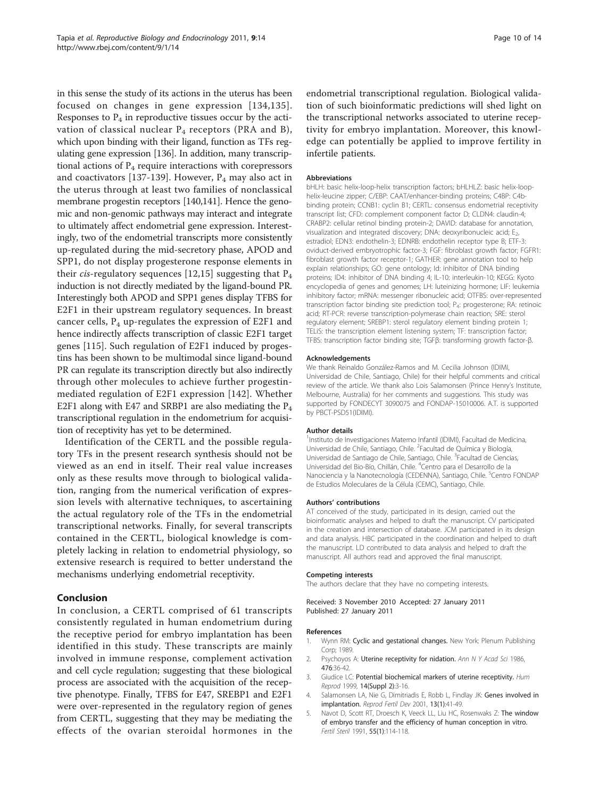<span id="page-9-0"></span>in this sense the study of its actions in the uterus has been focused on changes in gene expression [[134,135\]](#page-13-0). Responses to  $P_4$  in reproductive tissues occur by the activation of classical nuclear  $P_4$  receptors (PRA and B), which upon binding with their ligand, function as TFs regulating gene expression [[136](#page-13-0)]. In addition, many transcriptional actions of  $P_4$  require interactions with corepressors and coactivators [[137](#page-13-0)-[139\]](#page-13-0). However,  $P_4$  may also act in the uterus through at least two families of nonclassical membrane progestin receptors [\[140,141](#page-13-0)]. Hence the genomic and non-genomic pathways may interact and integrate to ultimately affect endometrial gene expression. Interestingly, two of the endometrial transcripts more consistently up-regulated during the mid-secretory phase, APOD and SPP1, do not display progesterone response elements in their *cis-regulatory* sequences [[12,15](#page-10-0)] suggesting that  $P_4$ induction is not directly mediated by the ligand-bound PR. Interestingly both APOD and SPP1 genes display TFBS for E2F1 in their upstream regulatory sequences. In breast cancer cells,  $P_4$  up-regulates the expression of E2F1 and hence indirectly affects transcription of classic E2F1 target genes [[115\]](#page-12-0). Such regulation of E2F1 induced by progestins has been shown to be multimodal since ligand-bound PR can regulate its transcription directly but also indirectly through other molecules to achieve further progestinmediated regulation of E2F1 expression [[142](#page-13-0)]. Whether E2F1 along with E47 and SRBP1 are also mediating the  $P_4$ transcriptional regulation in the endometrium for acquisition of receptivity has yet to be determined.

Identification of the CERTL and the possible regulatory TFs in the present research synthesis should not be viewed as an end in itself. Their real value increases only as these results move through to biological validation, ranging from the numerical verification of expression levels with alternative techniques, to ascertaining the actual regulatory role of the TFs in the endometrial transcriptional networks. Finally, for several transcripts contained in the CERTL, biological knowledge is completely lacking in relation to endometrial physiology, so extensive research is required to better understand the mechanisms underlying endometrial receptivity.

# Conclusion

In conclusion, a CERTL comprised of 61 transcripts consistently regulated in human endometrium during the receptive period for embryo implantation has been identified in this study. These transcripts are mainly involved in immune response, complement activation and cell cycle regulation; suggesting that these biological process are associated with the acquisition of the receptive phenotype. Finally, TFBS for E47, SREBP1 and E2F1 were over-represented in the regulatory region of genes from CERTL, suggesting that they may be mediating the effects of the ovarian steroidal hormones in the

endometrial transcriptional regulation. Biological validation of such bioinformatic predictions will shed light on the transcriptional networks associated to uterine receptivity for embryo implantation. Moreover, this knowledge can potentially be applied to improve fertility in infertile patients.

#### Abbreviations

bHLH: basic helix-loop-helix transcription factors; bHLHLZ: basic helix-loophelix-leucine zipper; C/EBP: CAAT/enhancer-binding proteins; C4BP: C4bbinding protein; CCNB1: cyclin B1; CERTL: consensus endometrial receptivity transcript list; CFD: complement component factor D; CLDN4: claudin-4; CRABP2: cellular retinol binding protein-2; DAVID: database for annotation, visualization and integrated discovery; DNA: deoxyribonucleic acid; E2, estradiol; EDN3: endothelin-3; EDNRB: endothelin receptor type B; ETF-3: oviduct-derived embryotrophic factor-3; FGF: fibroblast growth factor; FGFR1: fibroblast growth factor receptor-1; GATHER: gene annotation tool to help explain relationships; GO: gene ontology; Id: inhibitor of DNA binding proteins; ID4: inhibitor of DNA binding 4; IL-10: interleukin-10; KEGG: Kyoto encyclopedia of genes and genomes; LH: luteinizing hormone; LIF: leukemia inhibitory factor; mRNA: messenger ribonucleic acid; OTFBS: over-represented transcription factor binding site prediction tool; P4: progesterone; RA: retinoic acid; RT-PCR: reverse transcription-polymerase chain reaction; SRE: sterol regulatory element; SREBP1: sterol regulatory element binding protein 1; TELiS: the transcription element listening system; TF: transcription factor; TFBS: transcription factor binding site; TGFβ: transforming growth factor-β.

#### Acknowledgements

We thank Reinaldo González-Ramos and M. Cecilia Johnson (IDIMI, Universidad de Chile, Santiago, Chile) for their helpful comments and critical review of the article. We thank also Lois Salamonsen (Prince Henry's Institute, Melbourne, Australia) for her comments and suggestions. This study was supported by FONDECYT 3090075 and FONDAP-15010006. A.T. is supported by PBCT-PSD51(IDIMI).

#### Author details

<sup>1</sup>Instituto de Investigaciones Materno Infantil (IDIMI), Facultad de Medicina Universidad de Chile, Santiago, Chile. <sup>2</sup> Facultad de Química y Biología Universidad de Santiago de Chile, Santiago, Chile. <sup>3</sup> Facultad de Ciencias, Universidad del Bio-Bío, Chillán, Chile. <sup>4</sup> Centro para el Desarrollo de la Nanociencia y la Nanotecnología (CEDENNA), Santiago, Chile. <sup>5</sup>Centro FONDAP de Estudios Moleculares de la Célula (CEMC), Santiago, Chile.

#### Authors' contributions

AT conceived of the study, participated in its design, carried out the bioinformatic analyses and helped to draft the manuscript. CV participated in the creation and intersection of database. JCM participated in its design and data analysis. HBC participated in the coordination and helped to draft the manuscript. LD contributed to data analysis and helped to draft the manuscript. All authors read and approved the final manuscript.

#### Competing interests

The authors declare that they have no competing interests.

Received: 3 November 2010 Accepted: 27 January 2011 Published: 27 January 2011

#### References

- 1. Wynn RM: Cyclic and gestational changes. New York: Plenum Publishing Corp; 1989.
- 2. Psychoyos A: [Uterine receptivity for nidation.](http://www.ncbi.nlm.nih.gov/pubmed/3541745?dopt=Abstract) Ann N Y Acad Sci 1986, 476:36-42.
- 3. Giudice LC: [Potential biochemical markers of uterine receptivity.](http://www.ncbi.nlm.nih.gov/pubmed/10690796?dopt=Abstract) Hum Reprod 1999, 14(Suppl 2):3-16.
- 4. Salamonsen LA, Nie G, Dimitriadis E, Robb L, Findlay JK: [Genes involved in](http://www.ncbi.nlm.nih.gov/pubmed/11545164?dopt=Abstract) [implantation.](http://www.ncbi.nlm.nih.gov/pubmed/11545164?dopt=Abstract) Reprod Fertil Dev 2001, 13(1):41-49.
- 5. Navot D, Scott RT, Droesch K, Veeck LL, Liu HC, Rosenwaks Z: [The window](http://www.ncbi.nlm.nih.gov/pubmed/1986951?dopt=Abstract) [of embryo transfer and the efficiency of human conception in vitro.](http://www.ncbi.nlm.nih.gov/pubmed/1986951?dopt=Abstract) Fertil Steril 1991, 55(1):114-118.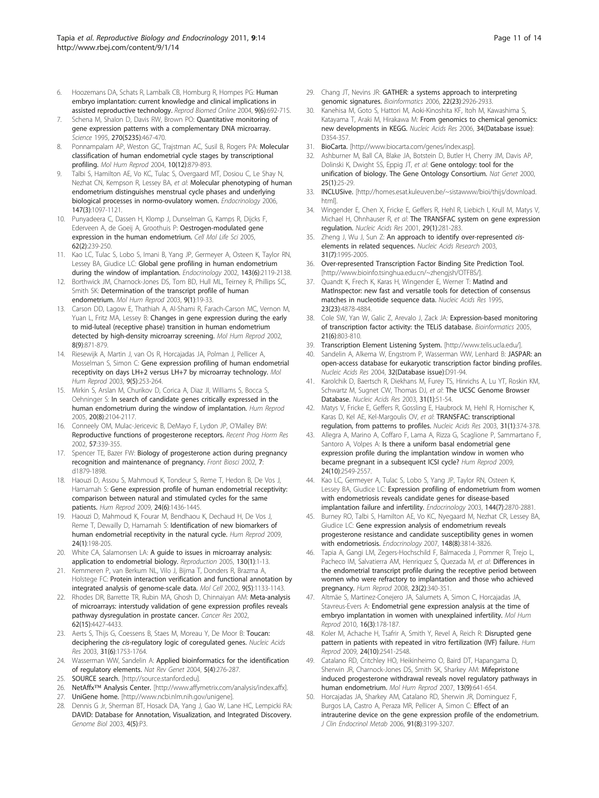- <span id="page-10-0"></span>6. Hoozemans DA, Schats R, Lambalk CB, Homburg R, Hompes PG: [Human](http://www.ncbi.nlm.nih.gov/pubmed/15670421?dopt=Abstract) [embryo implantation: current knowledge and clinical implications in](http://www.ncbi.nlm.nih.gov/pubmed/15670421?dopt=Abstract) [assisted reproductive technology.](http://www.ncbi.nlm.nih.gov/pubmed/15670421?dopt=Abstract) Reprod Biomed Online 2004, 9(6):692-715.
- 7. Schena M, Shalon D, Davis RW, Brown PO: [Quantitative monitoring of](http://www.ncbi.nlm.nih.gov/pubmed/7569999?dopt=Abstract) [gene expression patterns with a complementary DNA microarray.](http://www.ncbi.nlm.nih.gov/pubmed/7569999?dopt=Abstract) Science 1995, 270(5235):467-470.
- Ponnampalam AP, Weston GC, Trajstman AC, Susil B, Rogers PA: [Molecular](http://www.ncbi.nlm.nih.gov/pubmed/15501903?dopt=Abstract) [classification of human endometrial cycle stages by transcriptional](http://www.ncbi.nlm.nih.gov/pubmed/15501903?dopt=Abstract) [profiling.](http://www.ncbi.nlm.nih.gov/pubmed/15501903?dopt=Abstract) Mol Hum Reprod 2004, 10(12):879-893.
- Talbi S, Hamilton AE, Vo KC, Tulac S, Overgaard MT, Dosiou C, Le Shay N, Nezhat CN, Kempson R, Lessey BA, et al: [Molecular phenotyping of human](http://www.ncbi.nlm.nih.gov/pubmed/16306079?dopt=Abstract) [endometrium distinguishes menstrual cycle phases and underlying](http://www.ncbi.nlm.nih.gov/pubmed/16306079?dopt=Abstract) [biological processes in normo-ovulatory women.](http://www.ncbi.nlm.nih.gov/pubmed/16306079?dopt=Abstract) Endocrinology 2006, 147(3):1097-1121.
- 10. Punyadeera C, Dassen H, Klomp J, Dunselman G, Kamps R, Dijcks F, Ederveen A, de Goeij A, Groothuis P: [Oestrogen-modulated gene](http://www.ncbi.nlm.nih.gov/pubmed/15666095?dopt=Abstract) [expression in the human endometrium.](http://www.ncbi.nlm.nih.gov/pubmed/15666095?dopt=Abstract) Cell Mol Life Sci 2005, 62(2):239-250.
- 11. Kao LC, Tulac S, Lobo S, Imani B, Yang JP, Germeyer A, Osteen K, Taylor RN, Lessey BA, Giudice LC: [Global gene profiling in human endometrium](http://www.ncbi.nlm.nih.gov/pubmed/12021176?dopt=Abstract) [during the window of implantation.](http://www.ncbi.nlm.nih.gov/pubmed/12021176?dopt=Abstract) Endocrinology 2002, 143(6):2119-2138.
- 12. Borthwick JM, Charnock-Jones DS, Tom BD, Hull ML, Teirney R, Phillips SC, Smith SK: [Determination of the transcript profile of human](http://www.ncbi.nlm.nih.gov/pubmed/12529417?dopt=Abstract) [endometrium.](http://www.ncbi.nlm.nih.gov/pubmed/12529417?dopt=Abstract) Mol Hum Reprod 2003, 9(1):19-33.
- 13. Carson DD, Lagow E, Thathiah A, Al-Shami R, Farach-Carson MC, Vernon M, Yuan L, Fritz MA, Lessey B: [Changes in gene expression during the early](http://www.ncbi.nlm.nih.gov/pubmed/12200466?dopt=Abstract) [to mid-luteal \(receptive phase\) transition in human endometrium](http://www.ncbi.nlm.nih.gov/pubmed/12200466?dopt=Abstract) [detected by high-density microarray screening.](http://www.ncbi.nlm.nih.gov/pubmed/12200466?dopt=Abstract) Mol Hum Reprod 2002, 8(9):871-879.
- 14. Riesewijk A, Martin J, van Os R, Horcajadas JA, Polman J, Pellicer A, Mosselman S, Simon C: [Gene expression profiling of human endometrial](http://www.ncbi.nlm.nih.gov/pubmed/12728018?dopt=Abstract) [receptivity on days LH+2 versus LH+7 by microarray technology.](http://www.ncbi.nlm.nih.gov/pubmed/12728018?dopt=Abstract) Mol Hum Reprod 2003, 9(5):253-264.
- 15. Mirkin S, Arslan M, Churikov D, Corica A, Diaz JI, Williams S, Bocca S, Oehninger S: [In search of candidate genes critically expressed in the](http://www.ncbi.nlm.nih.gov/pubmed/15878921?dopt=Abstract) [human endometrium during the window of implantation.](http://www.ncbi.nlm.nih.gov/pubmed/15878921?dopt=Abstract) Hum Reprod 2005, 20(8):2104-2117.
- 16. Conneely OM, Mulac-Jericevic B, DeMayo F, Lydon JP, O'Malley BW: [Reproductive functions of progesterone receptors.](http://www.ncbi.nlm.nih.gov/pubmed/12017551?dopt=Abstract) Recent Prog Horm Res 2002, 57:339-355.
- 17. Spencer TE, Bazer FW: [Biology of progesterone action during pregnancy](http://www.ncbi.nlm.nih.gov/pubmed/12161340?dopt=Abstract) [recognition and maintenance of pregnancy.](http://www.ncbi.nlm.nih.gov/pubmed/12161340?dopt=Abstract) Front Biosci 2002, 7: d1879-1898.
- 18. Haouzi D, Assou S, Mahmoud K, Tondeur S, Reme T, Hedon B, De Vos J, Hamamah S: [Gene expression profile of human endometrial receptivity:](http://www.ncbi.nlm.nih.gov/pubmed/19246470?dopt=Abstract) [comparison between natural and stimulated cycles for the same](http://www.ncbi.nlm.nih.gov/pubmed/19246470?dopt=Abstract) [patients.](http://www.ncbi.nlm.nih.gov/pubmed/19246470?dopt=Abstract) Hum Reprod 2009, 24(6):1436-1445.
- 19. Haouzi D, Mahmoud K, Fourar M, Bendhaou K, Dechaud H, De Vos J, Reme T, Dewailly D, Hamamah S: [Identification of new biomarkers of](http://www.ncbi.nlm.nih.gov/pubmed/18835874?dopt=Abstract) [human endometrial receptivity in the natural cycle.](http://www.ncbi.nlm.nih.gov/pubmed/18835874?dopt=Abstract) Hum Reprod 2009, 24(1):198-205.
- 20. White CA, Salamonsen LA: [A guide to issues in microarray analysis:](http://www.ncbi.nlm.nih.gov/pubmed/15985627?dopt=Abstract) [application to endometrial biology.](http://www.ncbi.nlm.nih.gov/pubmed/15985627?dopt=Abstract) Reproduction 2005, 130(1):1-13.
- 21. Kemmeren P, van Berkum NL, Vilo J, Bijma T, Donders R, Brazma A, Holstege FC: [Protein interaction verification and functional annotation by](http://www.ncbi.nlm.nih.gov/pubmed/12049748?dopt=Abstract) [integrated analysis of genome-scale data.](http://www.ncbi.nlm.nih.gov/pubmed/12049748?dopt=Abstract) Mol Cell 2002, 9(5):1133-1143.
- 22. Rhodes DR, Barrette TR, Rubin MA, Ghosh D, Chinnaiyan AM: [Meta-analysis](http://www.ncbi.nlm.nih.gov/pubmed/12154050?dopt=Abstract) [of microarrays: interstudy validation of gene expression profiles reveals](http://www.ncbi.nlm.nih.gov/pubmed/12154050?dopt=Abstract) [pathway dysregulation in prostate cancer.](http://www.ncbi.nlm.nih.gov/pubmed/12154050?dopt=Abstract) Cancer Res 2002, 62(15):4427-4433.
- 23. Aerts S, Thijs G, Coessens B, Staes M, Moreau Y, De Moor B: [Toucan:](http://www.ncbi.nlm.nih.gov/pubmed/12626717?dopt=Abstract) deciphering the cis[-regulatory logic of coregulated genes.](http://www.ncbi.nlm.nih.gov/pubmed/12626717?dopt=Abstract) Nucleic Acids Res 2003, 31(6):1753-1764.
- 24. Wasserman WW, Sandelin A: [Applied bioinformatics for the identification](http://www.ncbi.nlm.nih.gov/pubmed/15131651?dopt=Abstract) [of regulatory elements.](http://www.ncbi.nlm.nih.gov/pubmed/15131651?dopt=Abstract) Nat Rev Genet 2004, 5(4):276-287.
- 25. SOURCE search. [<http://source.stanford.edu>].
- 26. NetAffx™ Analysis Center. [[http://www.affymetrix.com/analysis/index.affx\]](http://www.affymetrix.com/analysis/index.affx).
- 27. UniGene home. [<http://www.ncbi.nlm.nih.gov/unigene>].
- 28. Dennis G Jr, Sherman BT, Hosack DA, Yang J, Gao W, Lane HC, Lempicki RA: [DAVID: Database for Annotation, Visualization, and Integrated Discovery.](http://www.ncbi.nlm.nih.gov/pubmed/12734009?dopt=Abstract) Genome Biol 2003, 4(5):P3.
- 29. Chang JT, Nevins JR: [GATHER: a systems approach to interpreting](http://www.ncbi.nlm.nih.gov/pubmed/17000751?dopt=Abstract) [genomic signatures.](http://www.ncbi.nlm.nih.gov/pubmed/17000751?dopt=Abstract) Bioinformatics 2006, 22(23):2926-2933.
- 30. Kanehisa M, Goto S, Hattori M, Aoki-Kinoshita KF, Itoh M, Kawashima S, Katayama T, Araki M, Hirakawa M: [From genomics to chemical genomics:](http://www.ncbi.nlm.nih.gov/pubmed/16381885?dopt=Abstract) [new developments in KEGG.](http://www.ncbi.nlm.nih.gov/pubmed/16381885?dopt=Abstract) Nucleic Acids Res 2006, 34(Database issue): D354-357.
- 31. BioCarta. [\[http://www.biocarta.com/genes/index.asp](http://www.biocarta.com/genes/index.asp)].
- 32. Ashburner M, Ball CA, Blake JA, Botstein D, Butler H, Cherry JM, Davis AP, Dolinski K, Dwight SS, Eppig JT, et al: [Gene ontology: tool for the](http://www.ncbi.nlm.nih.gov/pubmed/10802651?dopt=Abstract) [unification of biology. The Gene Ontology Consortium.](http://www.ncbi.nlm.nih.gov/pubmed/10802651?dopt=Abstract) Nat Genet 2000, 25(1):25-29.
- 33. INCLUSive. [[http://homes.esat.kuleuven.be/~sistawww/bioi/thijs/download.](http://homes.esat.kuleuven.be/~sistawww/bioi/thijs/download.html) [html\]](http://homes.esat.kuleuven.be/~sistawww/bioi/thijs/download.html).
- 34. Wingender E, Chen X, Fricke E, Geffers R, Hehl R, Liebich I, Krull M, Matys V, Michael H, Ohnhauser R, et al: [The TRANSFAC system on gene expression](http://www.ncbi.nlm.nih.gov/pubmed/11125113?dopt=Abstract) [regulation.](http://www.ncbi.nlm.nih.gov/pubmed/11125113?dopt=Abstract) Nucleic Acids Res 2001, 29(1):281-283.
- 35. Zheng J, Wu J, Sun Z: [An approach to identify over-represented](http://www.ncbi.nlm.nih.gov/pubmed/12655017?dopt=Abstract) cis[elements in related sequences.](http://www.ncbi.nlm.nih.gov/pubmed/12655017?dopt=Abstract) Nucleic Acids Research 2003, 31(7):1995-2005.
- 36. Over-represented Transcription Factor Binding Site Prediction Tool. [[http://www.bioinfo.tsinghua.edu.cn/~zhengjsh/OTFBS/\]](http://www.bioinfo.tsinghua.edu.cn/~zhengjsh/OTFBS/).
- 37. Quandt K, Frech K, Karas H, Wingender E, Werner T: Matind and [MatInspector: new fast and versatile tools for detection of consensus](http://www.ncbi.nlm.nih.gov/pubmed/8532532?dopt=Abstract) [matches in nucleotide sequence data.](http://www.ncbi.nlm.nih.gov/pubmed/8532532?dopt=Abstract) Nucleic Acids Res 1995, 23(23):4878-4884.
- 38. Cole SW, Yan W, Galic Z, Arevalo J, Zack JA: [Expression-based monitoring](http://www.ncbi.nlm.nih.gov/pubmed/15374858?dopt=Abstract) [of transcription factor activity: the TELiS database.](http://www.ncbi.nlm.nih.gov/pubmed/15374858?dopt=Abstract) Bioinformatics 2005, 21(6):803-810.
- 39. Transcription Element Listening System. [<http://www.telis.ucla.edu/>].
- 40. Sandelin A, Alkema W, Engstrom P, Wasserman WW, Lenhard B: [JASPAR: an](http://www.ncbi.nlm.nih.gov/pubmed/14681366?dopt=Abstract) [open-access database for eukaryotic transcription factor binding profiles.](http://www.ncbi.nlm.nih.gov/pubmed/14681366?dopt=Abstract) Nucleic Acids Res 2004, 32(Database issue):D91-94.
- 41. Karolchik D, Baertsch R, Diekhans M, Furey TS, Hinrichs A, Lu YT, Roskin KM, Schwartz M, Sugnet CW, Thomas DJ, et al: [The UCSC Genome Browser](http://www.ncbi.nlm.nih.gov/pubmed/12519945?dopt=Abstract) [Database.](http://www.ncbi.nlm.nih.gov/pubmed/12519945?dopt=Abstract) Nucleic Acids Res 2003, 31(1):51-54.
- 42. Matys V, Fricke E, Geffers R, Gossling E, Haubrock M, Hehl R, Hornischer K, Karas D, Kel AE, Kel-Margoulis OV, et al: [TRANSFAC: transcriptional](http://www.ncbi.nlm.nih.gov/pubmed/12520026?dopt=Abstract) [regulation, from patterns to profiles.](http://www.ncbi.nlm.nih.gov/pubmed/12520026?dopt=Abstract) Nucleic Acids Res 2003, 31(1):374-378.
- 43. Allegra A, Marino A, Coffaro F, Lama A, Rizza G, Scaglione P, Sammartano F, Santoro A, Volpes A: [Is there a uniform basal endometrial gene](http://www.ncbi.nlm.nih.gov/pubmed/19542542?dopt=Abstract) [expression profile during the implantation window in women who](http://www.ncbi.nlm.nih.gov/pubmed/19542542?dopt=Abstract) [became pregnant in a subsequent ICSI cycle?](http://www.ncbi.nlm.nih.gov/pubmed/19542542?dopt=Abstract) Hum Reprod 2009, 24(10):2549-2557.
- 44. Kao LC, Germeyer A, Tulac S, Lobo S, Yang JP, Taylor RN, Osteen K, Lessey BA, Giudice LC: [Expression profiling of endometrium from women](http://www.ncbi.nlm.nih.gov/pubmed/12810542?dopt=Abstract) [with endometriosis reveals candidate genes for disease-based](http://www.ncbi.nlm.nih.gov/pubmed/12810542?dopt=Abstract) [implantation failure and infertility.](http://www.ncbi.nlm.nih.gov/pubmed/12810542?dopt=Abstract) Endocrinology 2003, 144(7):2870-2881.
- 45. Burney RO, Talbi S, Hamilton AE, Vo KC, Nyegaard M, Nezhat CR, Lessey BA, Giudice LC: [Gene expression analysis of endometrium reveals](http://www.ncbi.nlm.nih.gov/pubmed/17510236?dopt=Abstract) [progesterone resistance and candidate susceptibility genes in women](http://www.ncbi.nlm.nih.gov/pubmed/17510236?dopt=Abstract) [with endometriosis.](http://www.ncbi.nlm.nih.gov/pubmed/17510236?dopt=Abstract) Endocrinology 2007, 148(8):3814-3826.
- 46. Tapia A, Gangi LM, Zegers-Hochschild F, Balmaceda J, Pommer R, Trejo L, Pacheco IM, Salvatierra AM, Henriquez S, Quezada M, et al: [Differences in](http://www.ncbi.nlm.nih.gov/pubmed/18077318?dopt=Abstract) [the endometrial transcript profile during the receptive period between](http://www.ncbi.nlm.nih.gov/pubmed/18077318?dopt=Abstract) [women who were refractory to implantation and those who achieved](http://www.ncbi.nlm.nih.gov/pubmed/18077318?dopt=Abstract) [pregnancy.](http://www.ncbi.nlm.nih.gov/pubmed/18077318?dopt=Abstract) Hum Reprod 2008, 23(2):340-351.
- 47. Altmäe S, Martinez-Conejero JA, Salumets A, Simon C, Horcajadas JA, Stavreus-Evers A: [Endometrial gene expression analysis at the time of](http://www.ncbi.nlm.nih.gov/pubmed/19933690?dopt=Abstract) [embryo implantation in women with unexplained infertility.](http://www.ncbi.nlm.nih.gov/pubmed/19933690?dopt=Abstract) Mol Hum Reprod 2010, 16(3):178-187.
- 48. Koler M, Achache H, Tsafrir A, Smith Y, Revel A, Reich R: [Disrupted gene](http://www.ncbi.nlm.nih.gov/pubmed/19542175?dopt=Abstract) [pattern in patients with repeated in vitro fertilization \(IVF\) failure.](http://www.ncbi.nlm.nih.gov/pubmed/19542175?dopt=Abstract) Hum Reprod 2009, 24(10):2541-2548.
- 49. Catalano RD, Critchley HO, Heikinheimo O, Baird DT, Hapangama D, Sherwin JR, Charnock-Jones DS, Smith SK, Sharkey AM: [Mifepristone](http://www.ncbi.nlm.nih.gov/pubmed/17584828?dopt=Abstract) [induced progesterone withdrawal reveals novel regulatory pathways in](http://www.ncbi.nlm.nih.gov/pubmed/17584828?dopt=Abstract) [human endometrium.](http://www.ncbi.nlm.nih.gov/pubmed/17584828?dopt=Abstract) Mol Hum Reprod 2007, 13(9):641-654.
- 50. Horcajadas JA, Sharkey AM, Catalano RD, Sherwin JR, Dominguez F, Burgos LA, Castro A, Peraza MR, Pellicer A, Simon C: [Effect of an](http://www.ncbi.nlm.nih.gov/pubmed/16735486?dopt=Abstract) [intrauterine device on the gene expression profile of the endometrium.](http://www.ncbi.nlm.nih.gov/pubmed/16735486?dopt=Abstract) J Clin Endocrinol Metab 2006, 91(8):3199-3207.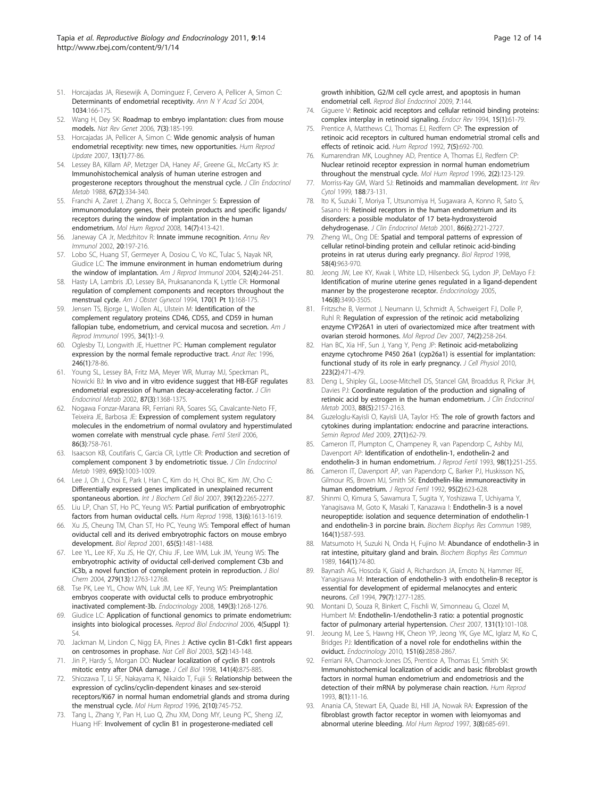- <span id="page-11-0"></span>51. Horcajadas JA, Riesewijk A, Dominguez F, Cervero A, Pellicer A, Simon C: [Determinants of endometrial receptivity.](http://www.ncbi.nlm.nih.gov/pubmed/15731309?dopt=Abstract) Ann N Y Acad Sci 2004, 1034:166-175.
- 52. Wang H, Dey SK: [Roadmap to embryo implantation: clues from mouse](http://www.ncbi.nlm.nih.gov/pubmed/16485018?dopt=Abstract) [models.](http://www.ncbi.nlm.nih.gov/pubmed/16485018?dopt=Abstract) Nat Rev Genet 2006, 7(3):185-199.
- 53. Horcajadas JA, Pellicer A, Simon C: [Wide genomic analysis of human](http://www.ncbi.nlm.nih.gov/pubmed/16960016?dopt=Abstract) [endometrial receptivity: new times, new opportunities.](http://www.ncbi.nlm.nih.gov/pubmed/16960016?dopt=Abstract) Hum Reprod Update 2007, 13(1):77-86.
- 54. Lessey BA, Killam AP, Metzger DA, Haney AF, Greene GL, McCarty KS Jr: [Immunohistochemical analysis of human uterine estrogen and](http://www.ncbi.nlm.nih.gov/pubmed/2455728?dopt=Abstract) [progesterone receptors throughout the menstrual cycle.](http://www.ncbi.nlm.nih.gov/pubmed/2455728?dopt=Abstract) J Clin Endocrinol Metab 1988, 67(2):334-340.
- 55. Franchi A, Zaret J, Zhang X, Bocca S, Oehninger S: [Expression of](http://www.ncbi.nlm.nih.gov/pubmed/18524812?dopt=Abstract) [immunomodulatory genes, their protein products and specific ligands/](http://www.ncbi.nlm.nih.gov/pubmed/18524812?dopt=Abstract) [receptors during the window of implantation in the human](http://www.ncbi.nlm.nih.gov/pubmed/18524812?dopt=Abstract) [endometrium.](http://www.ncbi.nlm.nih.gov/pubmed/18524812?dopt=Abstract) Mol Hum Reprod 2008, 14(7):413-421.
- 56. Janeway CA Jr, Medzhitov R: [Innate immune recognition.](http://www.ncbi.nlm.nih.gov/pubmed/11861602?dopt=Abstract) Annu Rev Immunol 2002, 20:197-216.
- 57. Lobo SC, Huang ST, Germeyer A, Dosiou C, Vo KC, Tulac S, Nayak NR, Giudice LC: [The immune environment in human endometrium during](http://www.ncbi.nlm.nih.gov/pubmed/15494045?dopt=Abstract) [the window of implantation.](http://www.ncbi.nlm.nih.gov/pubmed/15494045?dopt=Abstract) Am J Reprod Immunol 2004, 52(4):244-251.
- 58. Hasty LA, Lambris JD, Lessey BA, Pruksananonda K, Lyttle CR: [Hormonal](http://www.ncbi.nlm.nih.gov/pubmed/7507644?dopt=Abstract) [regulation of complement components and receptors throughout the](http://www.ncbi.nlm.nih.gov/pubmed/7507644?dopt=Abstract) [menstrual cycle.](http://www.ncbi.nlm.nih.gov/pubmed/7507644?dopt=Abstract) Am J Obstet Gynecol 1994, 170(1 Pt 1):168-175.
- 59. Jensen TS, Bjorge L, Wollen AL, Ulstein M: [Identification of the](http://www.ncbi.nlm.nih.gov/pubmed/7576125?dopt=Abstract) [complement regulatory proteins CD46, CD55, and CD59 in human](http://www.ncbi.nlm.nih.gov/pubmed/7576125?dopt=Abstract) [fallopian tube, endometrium, and cervical mucosa and secretion.](http://www.ncbi.nlm.nih.gov/pubmed/7576125?dopt=Abstract) Am J Reprod Immunol 1995, 34(1):1-9.
- 60. Oglesby TJ, Longwith JE, Huettner PC: [Human complement regulator](http://www.ncbi.nlm.nih.gov/pubmed/8876826?dopt=Abstract) [expression by the normal female reproductive tract.](http://www.ncbi.nlm.nih.gov/pubmed/8876826?dopt=Abstract) Anat Rec 1996, 246(1):78-86.
- 61. Young SL, Lessey BA, Fritz MA, Meyer WR, Murray MJ, Speckman PL, Nowicki BJ: [In vivo and in vitro evidence suggest that HB-EGF regulates](http://www.ncbi.nlm.nih.gov/pubmed/11889210?dopt=Abstract) [endometrial expression of human decay-accelerating factor.](http://www.ncbi.nlm.nih.gov/pubmed/11889210?dopt=Abstract) J Clin Endocrinol Metab 2002, 87(3):1368-1375.
- 62. Nogawa Fonzar-Marana RR, Ferriani RA, Soares SG, Cavalcante-Neto FF, Teixeira JE, Barbosa JE: [Expression of complement system regulatory](http://www.ncbi.nlm.nih.gov/pubmed/16831436?dopt=Abstract) [molecules in the endometrium of normal ovulatory and hyperstimulated](http://www.ncbi.nlm.nih.gov/pubmed/16831436?dopt=Abstract) [women correlate with menstrual cycle phase.](http://www.ncbi.nlm.nih.gov/pubmed/16831436?dopt=Abstract) Fertil Steril 2006, 86(3):758-761.
- 63. Isaacson KB, Coutifaris C, Garcia CR, Lyttle CR: [Production and secretion of](http://www.ncbi.nlm.nih.gov/pubmed/2793987?dopt=Abstract) [complement component 3 by endometriotic tissue.](http://www.ncbi.nlm.nih.gov/pubmed/2793987?dopt=Abstract) J Clin Endocrinol Metab 1989, 69(5):1003-1009.
- 64. Lee J, Oh J, Choi E, Park I, Han C, Kim do H, Choi BC, Kim JW, Cho C: [Differentially expressed genes implicated in unexplained recurrent](http://www.ncbi.nlm.nih.gov/pubmed/17681868?dopt=Abstract) [spontaneous abortion.](http://www.ncbi.nlm.nih.gov/pubmed/17681868?dopt=Abstract) Int J Biochem Cell Biol 2007, 39(12):2265-2277.
- 65. Liu LP, Chan ST, Ho PC, Yeung WS: [Partial purification of embryotrophic](http://www.ncbi.nlm.nih.gov/pubmed/9688401?dopt=Abstract) [factors from human oviductal cells.](http://www.ncbi.nlm.nih.gov/pubmed/9688401?dopt=Abstract) Hum Reprod 1998, 13(6):1613-1619.
- 66. Xu JS, Cheung TM, Chan ST, Ho PC, Yeung WS: [Temporal effect of human](http://www.ncbi.nlm.nih.gov/pubmed/11673265?dopt=Abstract) [oviductal cell and its derived embryotrophic factors on mouse embryo](http://www.ncbi.nlm.nih.gov/pubmed/11673265?dopt=Abstract) [development.](http://www.ncbi.nlm.nih.gov/pubmed/11673265?dopt=Abstract) Biol Reprod 2001, 65(5):1481-1488.
- 67. Lee YL, Lee KF, Xu JS, He QY, Chiu JF, Lee WM, Luk JM, Yeung WS: [The](http://www.ncbi.nlm.nih.gov/pubmed/14699127?dopt=Abstract) [embryotrophic activity of oviductal cell-derived complement C3b and](http://www.ncbi.nlm.nih.gov/pubmed/14699127?dopt=Abstract) [iC3b, a novel function of complement protein in reproduction.](http://www.ncbi.nlm.nih.gov/pubmed/14699127?dopt=Abstract) J Biol Chem 2004, 279(13):12763-12768.
- 68. Tse PK, Lee YL, Chow WN, Luk JM, Lee KF, Yeung WS: [Preimplantation](http://www.ncbi.nlm.nih.gov/pubmed/18039777?dopt=Abstract) [embryos cooperate with oviductal cells to produce embryotrophic](http://www.ncbi.nlm.nih.gov/pubmed/18039777?dopt=Abstract) [inactivated complement-3b.](http://www.ncbi.nlm.nih.gov/pubmed/18039777?dopt=Abstract) Endocrinology 2008, 149(3):1268-1276.
- 69. Giudice LC: [Application of functional genomics to primate endometrium:](http://www.ncbi.nlm.nih.gov/pubmed/17118168?dopt=Abstract) [insights into biological processes.](http://www.ncbi.nlm.nih.gov/pubmed/17118168?dopt=Abstract) Reprod Biol Endocrinol 2006, 4(Suppl 1): S4.
- 70. Jackman M, Lindon C, Nigg EA, Pines J: [Active cyclin B1-Cdk1 first appears](http://www.ncbi.nlm.nih.gov/pubmed/12524548?dopt=Abstract) [on centrosomes in prophase.](http://www.ncbi.nlm.nih.gov/pubmed/12524548?dopt=Abstract) Nat Cell Biol 2003, 5(2):143-148.
- 71. Jin P, Hardy S, Morgan DO: [Nuclear localization of cyclin B1 controls](http://www.ncbi.nlm.nih.gov/pubmed/9585407?dopt=Abstract) [mitotic entry after DNA damage.](http://www.ncbi.nlm.nih.gov/pubmed/9585407?dopt=Abstract) J Cell Biol 1998, 141(4):875-885.
- 72. Shiozawa T, Li SF, Nakayama K, Nikaido T, Fujii S: [Relationship between the](http://www.ncbi.nlm.nih.gov/pubmed/9239692?dopt=Abstract) [expression of cyclins/cyclin-dependent kinases and sex-steroid](http://www.ncbi.nlm.nih.gov/pubmed/9239692?dopt=Abstract) [receptors/Ki67 in normal human endometrial glands and stroma during](http://www.ncbi.nlm.nih.gov/pubmed/9239692?dopt=Abstract) [the menstrual cycle.](http://www.ncbi.nlm.nih.gov/pubmed/9239692?dopt=Abstract) Mol Hum Reprod 1996, 2(10):745-752.
- 73. Tang L, Zhang Y, Pan H, Luo Q, Zhu XM, Dong MY, Leung PC, Sheng JZ, Huang HF: [Involvement of cyclin B1 in progesterone-mediated cell](http://www.ncbi.nlm.nih.gov/pubmed/19968870?dopt=Abstract)
- 74. Giguere V: [Retinoic acid receptors and cellular retinoid binding proteins:](http://www.ncbi.nlm.nih.gov/pubmed/8156940?dopt=Abstract) [complex interplay in retinoid signaling.](http://www.ncbi.nlm.nih.gov/pubmed/8156940?dopt=Abstract) Endocr Rev 1994, 15(1):61-79.
- 75. Prentice A, Matthews CJ, Thomas EJ, Redfern CP: [The expression of](http://www.ncbi.nlm.nih.gov/pubmed/1379266?dopt=Abstract) [retinoic acid receptors in cultured human endometrial stromal cells and](http://www.ncbi.nlm.nih.gov/pubmed/1379266?dopt=Abstract) [effects of retinoic acid.](http://www.ncbi.nlm.nih.gov/pubmed/1379266?dopt=Abstract) Hum Reprod 1992, 7(5):692-700.
- 76. Kumarendran MK, Loughney AD, Prentice A, Thomas EJ, Redfern CP: [Nuclear retinoid receptor expression in normal human endometrium](http://www.ncbi.nlm.nih.gov/pubmed/9238669?dopt=Abstract) [throughout the menstrual cycle.](http://www.ncbi.nlm.nih.gov/pubmed/9238669?dopt=Abstract) Mol Hum Reprod 1996, 2(2):123-129.
- 77. Morriss-Kay GM, Ward SJ: [Retinoids and mammalian development.](http://www.ncbi.nlm.nih.gov/pubmed/10208011?dopt=Abstract) Int Rev Cytol 1999, 188:73-131.
- 78. Ito K, Suzuki T, Moriya T, Utsunomiya H, Sugawara A, Konno R, Sato S, Sasano H: Retinoid [receptors in the human endometrium and its](http://www.ncbi.nlm.nih.gov/pubmed/11397877?dopt=Abstract) [disorders: a possible modulator of 17 beta-hydroxysteroid](http://www.ncbi.nlm.nih.gov/pubmed/11397877?dopt=Abstract) [dehydrogenase.](http://www.ncbi.nlm.nih.gov/pubmed/11397877?dopt=Abstract) J Clin Endocrinol Metab 2001, 86(6):2721-2727.
- 79. Zheng WL, Ong DE: [Spatial and temporal patterns of expression of](http://www.ncbi.nlm.nih.gov/pubmed/9546726?dopt=Abstract) [cellular retinol-binding protein and cellular retinoic acid-binding](http://www.ncbi.nlm.nih.gov/pubmed/9546726?dopt=Abstract) [proteins in rat uterus during early pregnancy.](http://www.ncbi.nlm.nih.gov/pubmed/9546726?dopt=Abstract) Biol Reprod 1998, 58(4):963-970.
- 80. Jeong JW, Lee KY, Kwak I, White LD, Hilsenbeck SG, Lydon JP, DeMayo FJ: [Identification of murine uterine genes regulated in a ligand-dependent](http://www.ncbi.nlm.nih.gov/pubmed/15845616?dopt=Abstract) [manner by the progesterone receptor.](http://www.ncbi.nlm.nih.gov/pubmed/15845616?dopt=Abstract) Endocrinology 2005, 146(8):3490-3505.
- 81. Fritzsche B, Vermot J, Neumann U, Schmidt A, Schweigert FJ, Dolle P, Ruhl R: [Regulation of expression of the retinoic acid metabolizing](http://www.ncbi.nlm.nih.gov/pubmed/16955405?dopt=Abstract) [enzyme CYP26A1 in uteri of ovariectomized mice after treatment with](http://www.ncbi.nlm.nih.gov/pubmed/16955405?dopt=Abstract) [ovarian steroid hormones.](http://www.ncbi.nlm.nih.gov/pubmed/16955405?dopt=Abstract) Mol Reprod Dev 2007, 74(2):258-264.
- 82. Han BC, Xia HF, Sun J, Yang Y, Peng JP: [Retinoic acid-metabolizing](http://www.ncbi.nlm.nih.gov/pubmed/20112286?dopt=Abstract) [enzyme cytochrome P450 26a1 \(cyp26a1\) is essential for implantation:](http://www.ncbi.nlm.nih.gov/pubmed/20112286?dopt=Abstract) [functional study of its role in early pregnancy.](http://www.ncbi.nlm.nih.gov/pubmed/20112286?dopt=Abstract) J Cell Physiol 2010, 223(2):471-479.
- 83. Deng L, Shipley GL, Loose-Mitchell DS, Stancel GM, Broaddus R, Pickar JH, Davies PJ: [Coordinate regulation of the production and signaling of](http://www.ncbi.nlm.nih.gov/pubmed/12727970?dopt=Abstract) [retinoic acid by estrogen in the human endometrium.](http://www.ncbi.nlm.nih.gov/pubmed/12727970?dopt=Abstract) J Clin Endocrinol Metab 2003, 88(5):2157-2163.
- 84. Guzeloglu-Kayisli O, Kayisli UA, Taylor HS: [The role of growth factors and](http://www.ncbi.nlm.nih.gov/pubmed/19197806?dopt=Abstract) [cytokines during implantation: endocrine and paracrine interactions.](http://www.ncbi.nlm.nih.gov/pubmed/19197806?dopt=Abstract) Semin Reprod Med 2009, 27(1):62-79.
- 85. Cameron IT, Plumpton C, Champeney R, van Papendorp C, Ashby MJ, Davenport AP: [Identification of endothelin-1, endothelin-2 and](http://www.ncbi.nlm.nih.gov/pubmed/8345469?dopt=Abstract) [endothelin-3 in human endometrium.](http://www.ncbi.nlm.nih.gov/pubmed/8345469?dopt=Abstract) J Reprod Fertil 1993, 98(1):251-255.
- 86. Cameron IT, Davenport AP, van Papendorp C, Barker PJ, Huskisson NS, Gilmour RS, Brown MJ, Smith SK: [Endothelin-like immunoreactivity in](http://www.ncbi.nlm.nih.gov/pubmed/1518017?dopt=Abstract) [human endometrium.](http://www.ncbi.nlm.nih.gov/pubmed/1518017?dopt=Abstract) J Reprod Fertil 1992, 95(2):623-628.
- 87. Shinmi O, Kimura S, Sawamura T, Sugita Y, Yoshizawa T, Uchiyama Y, Yanagisawa M, Goto K, Masaki T, Kanazawa I: [Endothelin-3 is a novel](http://www.ncbi.nlm.nih.gov/pubmed/2508640?dopt=Abstract) [neuropeptide: isolation and sequence determination of endothelin-1](http://www.ncbi.nlm.nih.gov/pubmed/2508640?dopt=Abstract) [and endothelin-3 in porcine brain.](http://www.ncbi.nlm.nih.gov/pubmed/2508640?dopt=Abstract) Biochem Biophys Res Commun 1989, 164(1):587-593.
- 88. Matsumoto H, Suzuki N, Onda H, Fujino M: [Abundance of endothelin-3 in](http://www.ncbi.nlm.nih.gov/pubmed/2508641?dopt=Abstract) [rat intestine, pituitary gland and brain.](http://www.ncbi.nlm.nih.gov/pubmed/2508641?dopt=Abstract) Biochem Biophys Res Commun 1989, 164(1):74-80.
- 89. Baynash AG, Hosoda K, Giaid A, Richardson JA, Emoto N, Hammer RE, Yanagisawa M: [Interaction of endothelin-3 with endothelin-B receptor is](http://www.ncbi.nlm.nih.gov/pubmed/8001160?dopt=Abstract) [essential for development of epidermal melanocytes and enteric](http://www.ncbi.nlm.nih.gov/pubmed/8001160?dopt=Abstract) [neurons.](http://www.ncbi.nlm.nih.gov/pubmed/8001160?dopt=Abstract) Cell 1994, 79(7):1277-1285.
- 90. Montani D, Souza R, Binkert C, Fischli W, Simonneau G, Clozel M, Humbert M: [Endothelin-1/endothelin-3 ratio: a potential prognostic](http://www.ncbi.nlm.nih.gov/pubmed/17218562?dopt=Abstract) [factor of pulmonary arterial hypertension.](http://www.ncbi.nlm.nih.gov/pubmed/17218562?dopt=Abstract) Chest 2007, 131(1):101-108.
- 91. Jeoung M, Lee S, Hawng HK, Cheon YP, Jeong YK, Gye MC, Iglarz M, Ko C, Bridges PJ: [Identification of a novel role for endothelins within the](http://www.ncbi.nlm.nih.gov/pubmed/20357223?dopt=Abstract) [oviduct.](http://www.ncbi.nlm.nih.gov/pubmed/20357223?dopt=Abstract) Endocrinology 2010, 151(6):2858-2867.
- 92. Ferriani RA, Charnock-Jones DS, Prentice A, Thomas EJ, Smith SK: [Immunohistochemical localization of acidic and basic fibroblast growth](http://www.ncbi.nlm.nih.gov/pubmed/7681435?dopt=Abstract) [factors in normal human endometrium and endometriosis and the](http://www.ncbi.nlm.nih.gov/pubmed/7681435?dopt=Abstract) [detection of their mRNA by polymerase chain reaction.](http://www.ncbi.nlm.nih.gov/pubmed/7681435?dopt=Abstract) Hum Reprod 1993, 8(1):11-16.
- 93. Anania CA, Stewart EA, Quade BJ, Hill JA, Nowak RA: [Expression of the](http://www.ncbi.nlm.nih.gov/pubmed/9294852?dopt=Abstract) [fibroblast growth factor receptor in women with leiomyomas and](http://www.ncbi.nlm.nih.gov/pubmed/9294852?dopt=Abstract) [abnormal uterine bleeding.](http://www.ncbi.nlm.nih.gov/pubmed/9294852?dopt=Abstract) Mol Hum Reprod 1997, 3(8):685-691.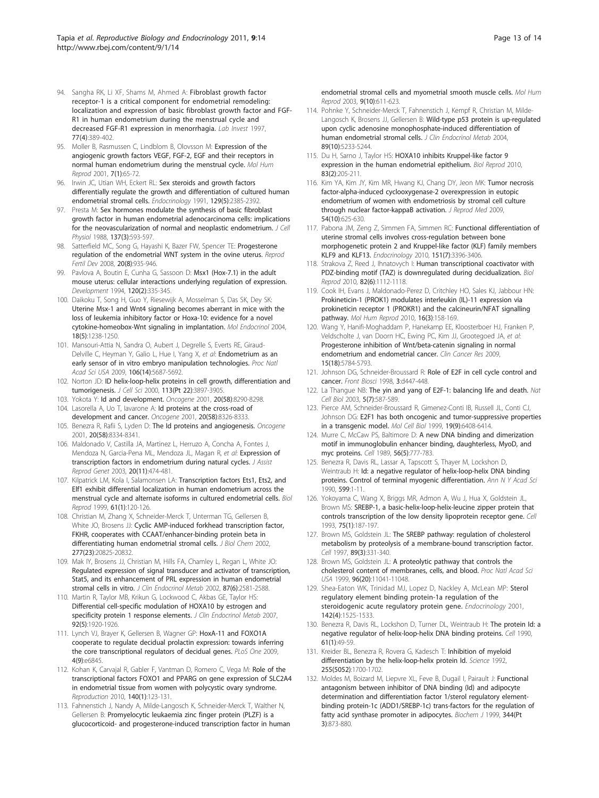- <span id="page-12-0"></span>94. Sangha RK, Li XF, Shams M, Ahmed A: [Fibroblast growth factor](http://www.ncbi.nlm.nih.gov/pubmed/9354773?dopt=Abstract) [receptor-1 is a critical component for endometrial remodeling:](http://www.ncbi.nlm.nih.gov/pubmed/9354773?dopt=Abstract) [localization and expression of basic fibroblast growth factor and FGF-](http://www.ncbi.nlm.nih.gov/pubmed/9354773?dopt=Abstract)[R1 in human endometrium during the menstrual cycle and](http://www.ncbi.nlm.nih.gov/pubmed/9354773?dopt=Abstract) [decreased FGF-R1 expression in menorrhagia.](http://www.ncbi.nlm.nih.gov/pubmed/9354773?dopt=Abstract) Lab Invest 1997, 77(4):389-402.
- 95. Moller B, Rasmussen C, Lindblom B, Olovsson M: [Expression of the](http://www.ncbi.nlm.nih.gov/pubmed/11134362?dopt=Abstract) [angiogenic growth factors VEGF, FGF-2, EGF and their receptors in](http://www.ncbi.nlm.nih.gov/pubmed/11134362?dopt=Abstract) [normal human endometrium during the menstrual cycle.](http://www.ncbi.nlm.nih.gov/pubmed/11134362?dopt=Abstract) Mol Hum Reprod 2001, 7(1):65-72.
- 96. Irwin JC, Utian WH, Eckert RL: [Sex steroids and growth factors](http://www.ncbi.nlm.nih.gov/pubmed/1935772?dopt=Abstract) [differentially regulate the growth and differentiation of cultured human](http://www.ncbi.nlm.nih.gov/pubmed/1935772?dopt=Abstract) [endometrial stromal cells.](http://www.ncbi.nlm.nih.gov/pubmed/1935772?dopt=Abstract) Endocrinology 1991, 129(5):2385-2392.
- 97. Presta M: [Sex hormones modulate the synthesis of basic fibroblast](http://www.ncbi.nlm.nih.gov/pubmed/2461382?dopt=Abstract) [growth factor in human endometrial adenocarcinoma cells: implications](http://www.ncbi.nlm.nih.gov/pubmed/2461382?dopt=Abstract) [for the neovascularization of normal and neoplastic endometrium.](http://www.ncbi.nlm.nih.gov/pubmed/2461382?dopt=Abstract) J Cell Physiol 1988, 137(3):593-597.
- 98. Satterfield MC, Song G, Hayashi K, Bazer FW, Spencer TE: [Progesterone](http://www.ncbi.nlm.nih.gov/pubmed/19007558?dopt=Abstract) [regulation of the endometrial WNT system in the ovine uterus.](http://www.ncbi.nlm.nih.gov/pubmed/19007558?dopt=Abstract) Reprod Fertil Dev 2008, 20(8):935-946.
- 99. Pavlova A, Boutin E, Cunha G, Sassoon D: [Msx1 \(Hox-7.1\) in the adult](http://www.ncbi.nlm.nih.gov/pubmed/7908629?dopt=Abstract) [mouse uterus: cellular interactions underlying regulation of expression.](http://www.ncbi.nlm.nih.gov/pubmed/7908629?dopt=Abstract) Development 1994, 120(2):335-345.
- 100. Daikoku T, Song H, Guo Y, Riesewijk A, Mosselman S, Das SK, Dey SK: [Uterine Msx-1 and Wnt4 signaling becomes aberrant in mice with the](http://www.ncbi.nlm.nih.gov/pubmed/14976223?dopt=Abstract) [loss of leukemia inhibitory factor or Hoxa-10: evidence for a novel](http://www.ncbi.nlm.nih.gov/pubmed/14976223?dopt=Abstract) [cytokine-homeobox-Wnt signaling in implantation.](http://www.ncbi.nlm.nih.gov/pubmed/14976223?dopt=Abstract) Mol Endocrinol 2004, 18(5):1238-1250.
- 101. Mansouri-Attia N, Sandra O, Aubert J, Degrelle S, Everts RE, Giraud-Delville C, Heyman Y, Galio L, Hue I, Yang X, et al: [Endometrium as an](http://www.ncbi.nlm.nih.gov/pubmed/19297625?dopt=Abstract) [early sensor of in vitro embryo manipulation technologies.](http://www.ncbi.nlm.nih.gov/pubmed/19297625?dopt=Abstract) Proc Natl Acad Sci USA 2009, 106(14):5687-5692.
- 102. Norton JD: [ID helix-loop-helix proteins in cell growth, differentiation and](http://www.ncbi.nlm.nih.gov/pubmed/11058077?dopt=Abstract) [tumorigenesis.](http://www.ncbi.nlm.nih.gov/pubmed/11058077?dopt=Abstract) J Cell Sci 2000, 113(Pt 22):3897-3905.
- 103. Yokota Y: [Id and development.](http://www.ncbi.nlm.nih.gov/pubmed/11840321?dopt=Abstract) Oncogene 2001, 20(58):8290-8298.
- 104. Lasorella A, Uo T, Iavarone A: [Id proteins at the cross-road of](http://www.ncbi.nlm.nih.gov/pubmed/11840325?dopt=Abstract) [development and cancer.](http://www.ncbi.nlm.nih.gov/pubmed/11840325?dopt=Abstract) Oncogene 2001, 20(58):8326-8333.
- 105. Benezra R, Rafii S, Lyden D: [The Id proteins and angiogenesis.](http://www.ncbi.nlm.nih.gov/pubmed/11840326?dopt=Abstract) Oncogene 2001, 20(58):8334-8341.
- 106. Maldonado V, Castilla JA, Martinez L, Herruzo A, Concha A, Fontes J, Mendoza N, Garcia-Pena ML, Mendoza JL, Magan R, et al: [Expression of](http://www.ncbi.nlm.nih.gov/pubmed/14714827?dopt=Abstract) [transcription factors in endometrium during natural cycles.](http://www.ncbi.nlm.nih.gov/pubmed/14714827?dopt=Abstract) J Assist Reprod Genet 2003, 20(11):474-481.
- 107. Kilpatrick LM, Kola I, Salamonsen LA: [Transcription factors Ets1, Ets2, and](http://www.ncbi.nlm.nih.gov/pubmed/10377039?dopt=Abstract) Elf1 [exhibit differential localization in human endometrium across the](http://www.ncbi.nlm.nih.gov/pubmed/10377039?dopt=Abstract) [menstrual cycle and alternate isoforms in cultured endometrial cells.](http://www.ncbi.nlm.nih.gov/pubmed/10377039?dopt=Abstract) Biol Reprod 1999, 61(1):120-126.
- 108. Christian M, Zhang X, Schneider-Merck T, Unterman TG, Gellersen B, White JO, Brosens JJ: [Cyclic AMP-induced forkhead transcription factor,](http://www.ncbi.nlm.nih.gov/pubmed/11893744?dopt=Abstract) [FKHR, cooperates with CCAAT/enhancer-binding protein beta in](http://www.ncbi.nlm.nih.gov/pubmed/11893744?dopt=Abstract) [differentiating human endometrial stromal cells.](http://www.ncbi.nlm.nih.gov/pubmed/11893744?dopt=Abstract) J Biol Chem 2002, 277(23):20825-20832.
- 109. Mak IY, Brosens JJ, Christian M, Hills FA, Chamley L, Regan L, White JO: [Regulated expression of signal transducer and activator of transcription,](http://www.ncbi.nlm.nih.gov/pubmed/12050218?dopt=Abstract) [Stat5, and its enhancement of PRL expression in human endometrial](http://www.ncbi.nlm.nih.gov/pubmed/12050218?dopt=Abstract) [stromal cells in vitro.](http://www.ncbi.nlm.nih.gov/pubmed/12050218?dopt=Abstract) J Clin Endocrinol Metab 2002, 87(6):2581-2588.
- 110. Martin R, Taylor MB, Krikun G, Lockwood C, Akbas GE, Taylor HS: [Differential cell-specific modulation of HOXA10 by estrogen and](http://www.ncbi.nlm.nih.gov/pubmed/17311863?dopt=Abstract) [specificity protein 1 response elements.](http://www.ncbi.nlm.nih.gov/pubmed/17311863?dopt=Abstract) J Clin Endocrinol Metab 2007, 92(5):1920-1926.
- 111. Lynch VJ, Brayer K, Gellersen B, Wagner GP: [HoxA-11 and FOXO1A](http://www.ncbi.nlm.nih.gov/pubmed/19727442?dopt=Abstract) [cooperate to regulate decidual prolactin expression: towards inferring](http://www.ncbi.nlm.nih.gov/pubmed/19727442?dopt=Abstract) [the core transcriptional regulators of decidual genes.](http://www.ncbi.nlm.nih.gov/pubmed/19727442?dopt=Abstract) PLoS One 2009, 4(9):e6845.
- 112. Kohan K, Carvajal R, Gabler F, Vantman D, Romero C, Vega M: [Role of the](http://www.ncbi.nlm.nih.gov/pubmed/20406953?dopt=Abstract) [transcriptional factors FOXO1 and PPARG on gene expression of SLC2A4](http://www.ncbi.nlm.nih.gov/pubmed/20406953?dopt=Abstract) [in endometrial tissue from women with polycystic ovary syndrome.](http://www.ncbi.nlm.nih.gov/pubmed/20406953?dopt=Abstract) Reproduction 2010, 140(1):123-131.
- 113. Fahnenstich J, Nandy A, Milde-Langosch K, Schneider-Merck T, Walther N, Gellersen B: [Promyelocytic leukaemia zinc finger protein \(PLZF\) is a](http://www.ncbi.nlm.nih.gov/pubmed/12970399?dopt=Abstract) [glucocorticoid- and progesterone-induced transcription factor in human](http://www.ncbi.nlm.nih.gov/pubmed/12970399?dopt=Abstract)

[endometrial stromal cells and myometrial smooth muscle cells.](http://www.ncbi.nlm.nih.gov/pubmed/12970399?dopt=Abstract) Mol Hum Reprod 2003, 9(10):611-623.

- 114. Pohnke Y, Schneider-Merck T, Fahnenstich J, Kempf R, Christian M, Milde-Langosch K, Brosens JJ, Gellersen B: [Wild-type p53 protein is up-regulated](http://www.ncbi.nlm.nih.gov/pubmed/15472230?dopt=Abstract) [upon cyclic adenosine monophosphate-induced differentiation of](http://www.ncbi.nlm.nih.gov/pubmed/15472230?dopt=Abstract) [human endometrial stromal cells.](http://www.ncbi.nlm.nih.gov/pubmed/15472230?dopt=Abstract) J Clin Endocrinol Metab 2004, 89(10):5233-5244.
- 115. Du H, Sarno J, Taylor HS: [HOXA10 inhibits Kruppel-like factor 9](http://www.ncbi.nlm.nih.gov/pubmed/20463357?dopt=Abstract) [expression in the human endometrial epithelium.](http://www.ncbi.nlm.nih.gov/pubmed/20463357?dopt=Abstract) Biol Reprod 2010, 83(2):205-211.
- 116. Kim YA, Kim JY, Kim MR, Hwang KJ, Chang DY, Jeon MK: [Tumor necrosis](http://www.ncbi.nlm.nih.gov/pubmed/20677482?dopt=Abstract) [factor-alpha-induced cyclooxygenase-2 overexpression in eutopic](http://www.ncbi.nlm.nih.gov/pubmed/20677482?dopt=Abstract) [endometrium of women with endometriosis by stromal cell culture](http://www.ncbi.nlm.nih.gov/pubmed/20677482?dopt=Abstract) [through nuclear factor-kappaB activation.](http://www.ncbi.nlm.nih.gov/pubmed/20677482?dopt=Abstract) J Reprod Med 2009, 54(10):625-630.
- 117. Pabona JM, Zeng Z, Simmen FA, Simmen RC: [Functional differentiation of](http://www.ncbi.nlm.nih.gov/pubmed/20410205?dopt=Abstract) [uterine stromal cells involves cross-regulation between bone](http://www.ncbi.nlm.nih.gov/pubmed/20410205?dopt=Abstract) [morphogenetic protein 2 and Kruppel-like factor \(KLF\) family members](http://www.ncbi.nlm.nih.gov/pubmed/20410205?dopt=Abstract) [KLF9 and KLF13.](http://www.ncbi.nlm.nih.gov/pubmed/20410205?dopt=Abstract) Endocrinology 2010, 151(7):3396-3406.
- 118. Strakova Z, Reed J, Ihnatovych I: [Human transcriptional coactivator with](http://www.ncbi.nlm.nih.gov/pubmed/20164440?dopt=Abstract) [PDZ-binding motif \(TAZ\) is downregulated during decidualization.](http://www.ncbi.nlm.nih.gov/pubmed/20164440?dopt=Abstract) Biol Reprod 2010, 82(6):1112-1118.
- 119. Cook IH, Evans J, Maldonado-Perez D, Critchley HO, Sales KJ, Jabbour HN: [Prokineticin-1 \(PROK1\) modulates interleukin \(IL\)-11 expression via](http://www.ncbi.nlm.nih.gov/pubmed/19801577?dopt=Abstract) [prokineticin receptor 1 \(PROKR1\) and the calcineurin/NFAT signalling](http://www.ncbi.nlm.nih.gov/pubmed/19801577?dopt=Abstract) [pathway.](http://www.ncbi.nlm.nih.gov/pubmed/19801577?dopt=Abstract) Mol Hum Reprod 2010, 16(3):158-169.
- 120. Wang Y, Hanifi-Moghaddam P, Hanekamp EE, Kloosterboer HJ, Franken P, Veldscholte J, van Doorn HC, Ewing PC, Kim JJ, Grootegoed JA, et al: [Progesterone inhibition of Wnt/beta-catenin signaling in normal](http://www.ncbi.nlm.nih.gov/pubmed/19737954?dopt=Abstract) [endometrium and endometrial cancer.](http://www.ncbi.nlm.nih.gov/pubmed/19737954?dopt=Abstract) Clin Cancer Res 2009, 15(18):5784-5793.
- 121. Johnson DG, Schneider-Broussard R: [Role of E2F in cell cycle control and](http://www.ncbi.nlm.nih.gov/pubmed/9556498?dopt=Abstract) [cancer.](http://www.ncbi.nlm.nih.gov/pubmed/9556498?dopt=Abstract) Front Biosci 1998, 3:d447-448.
- 122. La Thangue NB: [The yin and yang of E2F-1: balancing life and death.](http://www.ncbi.nlm.nih.gov/pubmed/12833056?dopt=Abstract) Nat Cell Biol 2003, 5(7):587-589.
- 123. Pierce AM, Schneider-Broussard R, Gimenez-Conti IB, Russell JL, Conti CJ, Johnson DG: [E2F1 has both oncogenic and tumor-suppressive properties](http://www.ncbi.nlm.nih.gov/pubmed/10454586?dopt=Abstract) [in a transgenic model.](http://www.ncbi.nlm.nih.gov/pubmed/10454586?dopt=Abstract) Mol Cell Biol 1999, 19(9):6408-6414.
- 124. Murre C, McCaw PS, Baltimore D: [A new DNA binding and dimerization](http://www.ncbi.nlm.nih.gov/pubmed/2493990?dopt=Abstract) [motif in immunoglobulin enhancer binding, daughterless, MyoD, and](http://www.ncbi.nlm.nih.gov/pubmed/2493990?dopt=Abstract) [myc proteins.](http://www.ncbi.nlm.nih.gov/pubmed/2493990?dopt=Abstract) Cell 1989, 56(5):777-783.
- 125. Benezra R, Davis RL, Lassar A, Tapscott S, Thayer M, Lockshon D, Weintraub H: [Id: a negative regulator of helix-loop-helix DNA binding](http://www.ncbi.nlm.nih.gov/pubmed/2171390?dopt=Abstract) [proteins. Control of terminal myogenic differentiation.](http://www.ncbi.nlm.nih.gov/pubmed/2171390?dopt=Abstract) Ann N Y Acad Sci 1990, 599:1-11.
- 126. Yokoyama C, Wang X, Briggs MR, Admon A, Wu J, Hua X, Goldstein JL, Brown MS: [SREBP-1, a basic-helix-loop-helix-leucine zipper protein that](http://www.ncbi.nlm.nih.gov/pubmed/8402897?dopt=Abstract) [controls transcription of the low density lipoprotein receptor gene.](http://www.ncbi.nlm.nih.gov/pubmed/8402897?dopt=Abstract) Cell 1993, 75(1):187-197.
- 127. Brown MS, Goldstein JL: [The SREBP pathway: regulation of cholesterol](http://www.ncbi.nlm.nih.gov/pubmed/9150132?dopt=Abstract) [metabolism by proteolysis of a membrane-bound transcription factor.](http://www.ncbi.nlm.nih.gov/pubmed/9150132?dopt=Abstract) Cell 1997, 89(3):331-340.
- 128. Brown MS, Goldstein JL: [A proteolytic pathway that controls the](http://www.ncbi.nlm.nih.gov/pubmed/10500120?dopt=Abstract) [cholesterol content of membranes, cells, and blood.](http://www.ncbi.nlm.nih.gov/pubmed/10500120?dopt=Abstract) Proc Natl Acad Sci USA 1999, 96(20):11041-11048.
- 129. Shea-Eaton WK, Trinidad MJ, Lopez D, Nackley A, McLean MP: [Sterol](http://www.ncbi.nlm.nih.gov/pubmed/11250933?dopt=Abstract) [regulatory element binding protein-1a regulation of the](http://www.ncbi.nlm.nih.gov/pubmed/11250933?dopt=Abstract) [steroidogenic acute regulatory protein gene.](http://www.ncbi.nlm.nih.gov/pubmed/11250933?dopt=Abstract) Endocrinology 2001, 142(4):1525-1533.
- 130. Benezra R, Davis RL, Lockshon D, Turner DL, Weintraub H: [The protein Id: a](http://www.ncbi.nlm.nih.gov/pubmed/2156629?dopt=Abstract) [negative regulator of helix-loop-helix DNA binding proteins.](http://www.ncbi.nlm.nih.gov/pubmed/2156629?dopt=Abstract) Cell 1990, 61(1):49-59.
- 131. Kreider BL, Benezra R, Rovera G, Kadesch T: [Inhibition of myeloid](http://www.ncbi.nlm.nih.gov/pubmed/1372755?dopt=Abstract) [differentiation by the helix-loop-helix protein Id.](http://www.ncbi.nlm.nih.gov/pubmed/1372755?dopt=Abstract) Science 1992, 255(5052):1700-1702.
- 132. Moldes M, Boizard M, Liepvre XL, Feve B, Dugail I, Pairault J: [Functional](http://www.ncbi.nlm.nih.gov/pubmed/10585876?dopt=Abstract) [antagonism between inhibitor of DNA binding \(Id\) and adipocyte](http://www.ncbi.nlm.nih.gov/pubmed/10585876?dopt=Abstract) [determination and differentiation factor 1/sterol regulatory element](http://www.ncbi.nlm.nih.gov/pubmed/10585876?dopt=Abstract)[binding protein-1c \(ADD1/SREBP-1c\) trans-factors for the regulation of](http://www.ncbi.nlm.nih.gov/pubmed/10585876?dopt=Abstract) [fatty acid synthase promoter in adipocytes.](http://www.ncbi.nlm.nih.gov/pubmed/10585876?dopt=Abstract) Biochem J 1999, 344(Pt 3):873-880.